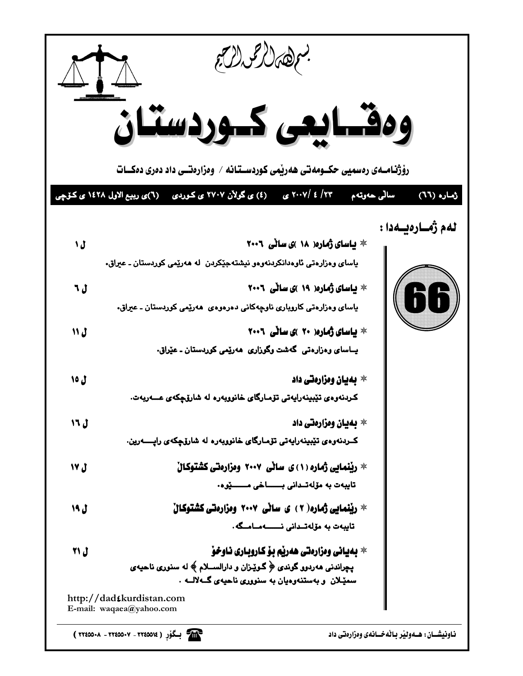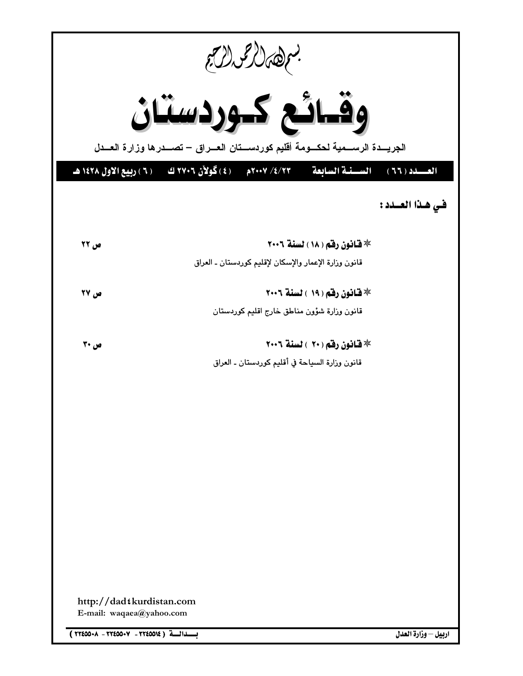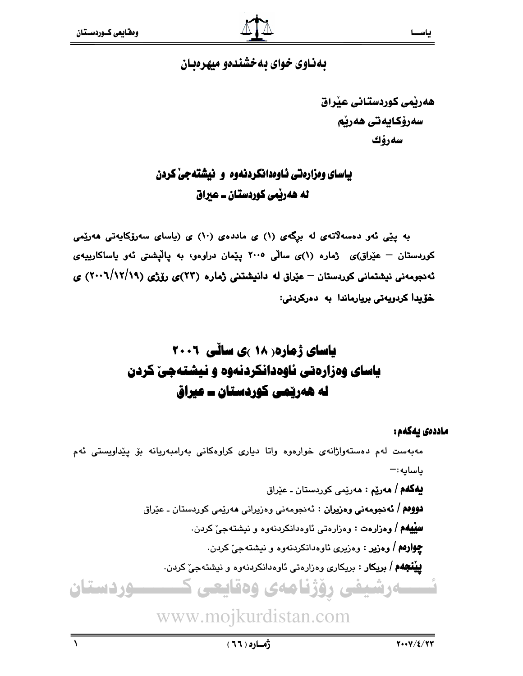# بهناوی خوای به خشندهو میهرهبان

هەرپمى كوردستانى عيراق سەرۆكايەتى ھەرپم سەرۆك

# ياسای ومزارهتی ئـاومدانكردنهوه و نيشتهجی كردن له هەربْمى كوردستان ــ عبراق

به پێی ئەو دەسەلاّتەی لە برِگەی (۱) ی ماددەی (۱۰) ی (یاسای سەرۆکايەتی ھەرێمی کوردستان – عێراق)ی ژماره (۱)ی سالّی ۲۰۰۵ یێمان دراوهو، به یالیشتی ئهو یاساکارییهی ئەنجومەنى نیشتمانى كوردستان – عێراق لە دانیشتنى ژمارە (٢٣)ى رۆژى (١٩/١٩/١٩) ى خۆيدا كردويەتى بريارماندا بە دەركردنى:

# **یاسای ژماره ( ۱۸ )ی سائی ۲۰۰۱** یاسای وهزارهتی ناوهدانکردنهوه و نیشتهجی کردن له هەرپىمى كوردستان ــ عيراق

#### ماددەى يەكەم :

مەبەست لەم دەستەواژانەي خوارەوە واتا دېارى كراوەكانى بەرامبەريانە بۆ پێداويستى ئەم باسايه: – **پهگهم / مەرێم :** مەرێمى كوردستان ـ عێراق **دووهم / ئەدجومەنى وەزيران :** ئەدجومەنى وەزيرانى ھەرێمى كوردستان ـ عێراق **سِيْيهُم / وەزارەت :** وەزارەتى ئاوەدانكردنەوە و نيشتەجىّ كردن. **چوارهم / وهزیر** : وهزیری ئاوهدانکردنهوه و نیشتهجیّ کردن. **بينجهم / بريكار** : بريكاري وهزارهتي ئاوهدانكردنهوه و نيشتهجيّ كردن. ــــهرشیفی رؤژنامهی وهقایعی ک <u>سوردستان</u>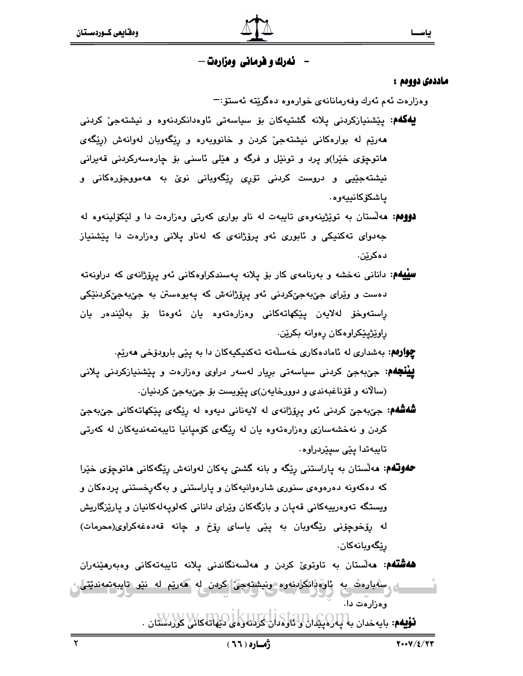# **نهرك و هرماني ومزارهت —**

#### ماددەى دووەم :

وەزارەت ئەم ئەرك وفەرمانانەي خوارەوە دەگرێتە ئەستۆ:−

- **لِيُهگُهُم:** پێشنيازکردنی يلانه گشتيهکان بۆ سياسەتی ئاوەدانکردنەوە و نيشتەجیٚ کردنی هەرێم لە بوارەكانى نیشتەجىٚ كردن و خانووبەرە و رێگەوبان لەوانەش (رێگەی هاتوچۆی خێرا)و پرد و تونێل و فرگه و هێلی ئاسنی بۆ چارەسەرکردنی قەيرانی نیشتهجێپی و دروست کردنی تۆرِی رِێگەوبانی نویؒ به هەمووجۆرەکانی و ياشكۆكانىيەوە.
- **دووهم: م**ەلستان بە توپزینەوەی تايبەت لە ناو بواری كەرتى وەزارەت دا و لێكۆلينەوە لە جەدوای تەكنىكى و ئابورى ئەو پرۆژانەى كە لەناو پلانى وەزارەت دا پێشنياز دەكرێن.
- **سییهم:** دانانی نەخشە و بەرنامەی کار بۆ پلانە پەسندکراوەکانی ئەو پریۆژانەی کە دراونەتە دەست و وێِرای جێبەجێکردنی ئەو پرِۆژانەش کە پەيوەستن بە جێبەجێکردنێکی راستەوخۆ لەلايەن پێكهاتەكانى وەزارەتەوە يان ئەوەتا بۆ بەلێندەر يان راوێژپێکراوهکان رەوانە بکرێن.

**چوارهم**: بەشدارى لە ئامادەكارى خەسلەتە تەكنىكيەكان دا بە يێى بارودۆخى ھەرێم.

**ييْنْجَهُم:** جيّ،بهجيّ کردني سياسهتي بريار لهسهر دراوي وهزارهت و يێشنيازکردني پلاني (سالانه و قۆناغبەندى و دوورخايەن)ى پێويست بۆ جێبەجێ كردنيان.

**شَفشَهُم:** جيِّبهجيّ کردني ئهو پرۆژانهي له لاپهناني دپهوه له رێگهي پێکهاتهکاني جيّبهجيّ کردن و نهخشهسازی وهزارهتهوه یان له ریِّگهی کوّمیانیا تایبهتمهندیهکان له کهرتی تايبەتدا يێى سيێردراوە٠

**حلولگهم: م**ەلستان بە پاراستنى رێگە و بانە گشتى پەكان لەوانەش رێگەكانى ھاتوچۆى خێرا که دهکهونه دهرهوهی سنوری شارهوانیهکان و پاراستنی و بهگهرخستنی پردهکان و ویستگه تەوەرىيەكانى قەيان و بازگەكان وێراى دانانى كەلوپەلەكانيان و يارێزگاريش له رۆخوچۆنى رێگەوبان بە پێى ياساى رۆخ و چانە قەدەغەكراوى(محرمات) رێڲەوپانەكان.

**هەشتەم: م**ەلستان بە تاوتوىٰ كردن و **م**ەلسەنگاندنى پلانە تايبەتەكانى وەبەرھێنەران ِ ستبارەت بە ئارەتلىكرىنەرە رىيشتەجى كرەن لە ھەريم لە نيو تايبەتمەندىتى، وەزارەت دا.

فۇيەم: بايەخدان بەلبارلىكتان ئوتاردان كردنەركىلى لىنھاتەكلار كوردىستان .

 $\mathbf{r}$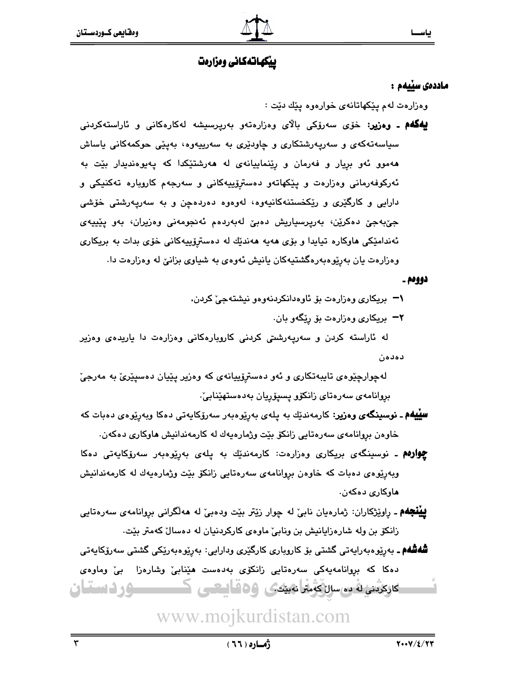# ييكهاتهكاني ومزارمت

#### ماددەى سىيەم :

وهزارهت لهم پێکهاتانهی خوارهوه پێك دێت :

**لِيُهگُهُمْ ـ وەزير:** خۆی سەرۆکى بالای وەزارەتەو بەرپرسىشە لەکارەکانى و ئاراستەکردنى سیاسەتەكەی و سەرپەرشتكاری و چاودێری بە سەرپیەوە، بەپێی حوكمەكانی ياساش ههموو ئهو بريار و فهرمان و رِينماييانهى له ههرشتێکدا که پهيوهنديدار بێت به ئەركوفەرمانى وەزارەت و يێكهاتەو دەسترۆپيەكانى و سەرجەم كاروبارە تەكنيكى و دارایی و کارگێری و رێِکخستنهکانیهوه، لهوهوه دهردهچن و به سهریِهرشتی خوّشی جې،بهجې دهکرين، بهريرسياريش دهبې لهېهردهم ئهنجومهنې وهزيران، بهو يێيپهی ئەندامێکی هاوکاره تیایدا و بۆی هەیە ھەندێك لە دەسترۆپیەکانی خۆی بدات بە بریکاری وهزارهت یان بهریوهبهرهگشتیهکان یانیش ئهوهی به شیاوی بزانیْ له وهزارهت دا.

#### دووهم ۔

۱– بریکاری وهزارهت بۆ ئاوهدانکردنهوهو نیشتهجی کردن.

۲¬ بریکاری وهزارهت بۆ رێگەو بان.

له ئاراسته کردن و سەرپەرشتى کردنى کاروبارەکانى وەزارەت دا ياريدەى وەزير دەدەن

لهچوارچێوهي تايبهتکاري و ئهو دهسترِۆپيانهي که وهزير پێيان دهسپێرێ به مەرجێ بروانامەي سەرەتاي زانكۆو يسىۆريان بەدەستھێنابىٚ.

- **سلیلهم ـ نوسینگەی وەزیر**: کارمەندێك بە يلەی بەرێوەبەر سەرۆکاپەتى دەکا وبەرێوەی دەبات كە خاوەن بروانامەي سەرەتايى زانكۆ بێت وژمارەيەك لە كارمەندانيش ھاوكارى دەكەن.
- **چوارەم ـ** نوسینگەی بریکاری وەزارەت: کارمەندێك بە پلەی بەرێوەبەر سەرۆکاپەتى دەکا وبەرپوەي دەبات كە خاوەن بروانامەي سەرەتايى زانكۆ بێت وژمارەيەك لە كارمەندانيش هاوكارى دەكەن.
- **پيُنْجِهُم ـ** راوێِژکاران: ژمارەيان نابيِّ له چوار زێتر بێت ودەبيِّ له هەڵگرانى بروانامەي سەرەتايى زانکۆ بن وله شارەزايانيش بن ونابيٌ ماوەي کارکردنيان له دەسالٌ کەمتر بێت.

**شُەشُەم ـ** بەرێوەبەراپەتى گشتى بۆ كاروبارى كارگێرى ودارايى: بەرێوەبەرێكى گشتى سەرۆكاپەتى دەكا كە بېيوانامەيەكى سەرەتايى زانكۆى بەدەست ھێنابى وشارەزا بى وماوەي کارکرینی له ده سال که متر نه بیندی و ه قاسی سی ک ــــوردستان

www.mojkurdistan.com

 $\mathbf{r}$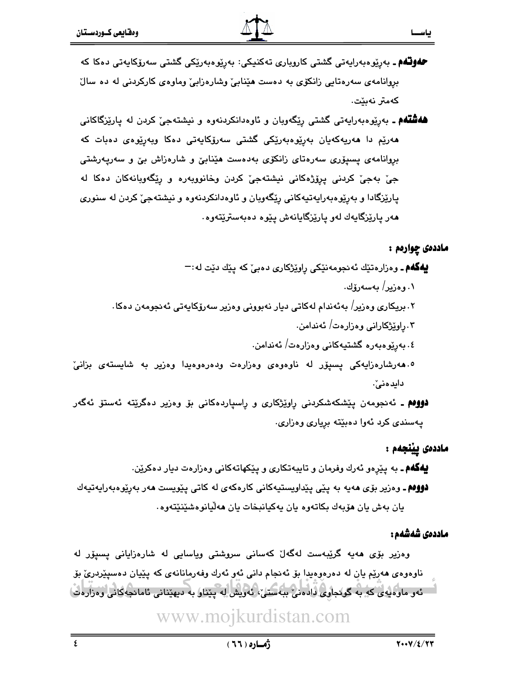- **حەوتـُەم** ـ بەرپوەبەرايەتى گشتى كاروبارى تەكنىكى: بەرپوەبەرپكى گشتى سەرۆكايەتى دەكا كە بروانامهی سهرهتایی زانکوی به دهست هینابی وشارهزابی وماوهی کارکردنی له ده سال كەمتر نەىٽت.
- **هەشتەم ـ** بەرێوەبەرايەتى گشتى رێگەوبان و ئاوەدانكردنەوە و نيشتەجىّ كردن لە پارێزگاكانى ھەرێم دا ھەريەكەيان بەرێوەبەرێكى گشتى سەرۆكايەتى دەكا وبەرێوەى دەبات كە بروانامەي يسيۆرى سەرەتاي زانكۆي بەدەست ھێنابىؒ و شارەزاش بىؒ و سەريەرشتى جيّ بهجيّ کردني پرِۆژەکاني نيشتهجيّ کردن وخانووبهره و رِڀّگهوبانهکان دەکا له پارێزگادا و بهرێوهبهراپهتپهکانی رێگەوبان و ئاوەدانکردنهوه و نیشتهجیٚ کردن له سنوری مەر يارێزگايەك لەو يارێزگايانەش يێوە دەبەسترێتەوە٠

#### ماددەي چوارەم :

**ليهگهم ـ** وهزارهتێك ئەنجومەنێكى راوێژكارى دەبى كە يێك دێت لە:¬

- ٠١ و هزير / پهسهرۆك.
- ۲. بریکاری وەزیر/ بەئەندام لەکاتی دیار نەبوونی وەزیر سەرۆکايەتی ئەنجومەن دەکا.
	- ۰۳ راوێژکارانی وهزارهت/ ئەندامن.
	- ٤. بەرێوەبەرە گشتيەكانى وەزارەت/ ئەندامن.
- ۰۵مهرشارهزایهکی پسپور له ناوهوهی وهزارهت ودهرهوهیدا وهزیر به شایستهی بزانیّ دايد مني`.

**دووم ـ** ئەنجومەن يێشكەشكردنى راوێژكارى و راسپاردەكانى بۆ وەزير دەگرێتە ئەستۆ ئەگەر پهسندي کرد ئهوا دهبێته برياري وهزاري.

### ماددەى يېنجەم :

**لِيُهگَهُم ـ** به پێرِهو ئهرك وفرمان و تايبهتكاري و پێكهاتهكاني وهزارهت ديار دهكرێن. **دوومم ـ** وهزیر بۆی هەیە بە پێی پێداویستیەکانی کارەکەی لە کاتی پێویست هەر بەرێوەبەرایەتیەك يان بەش يان ھۆبەك بكاتەوە يان يەكيانبخات يان ھەلّيانوەشێنێتەوە.

#### ماددەى شەشەم :

وەزیر بۆی ھەپە گرێبەست لەگەل كەسانى سروشتى وياسايى لە شارەزايانى يسيۆر لە ناوهوهي هەرێم يان له دەرەوەيدا بۆ ئەنجام دانى ئەو ئەرك وفەرمانانەي كە يێيان دەسيێردرێ بۆ ئەر مارەپەي كە بە گونجاوى دادەنى بېەستى، ئەرىش لە پىنار بە دىھىدانى ئامانجەكانى رەزارەت)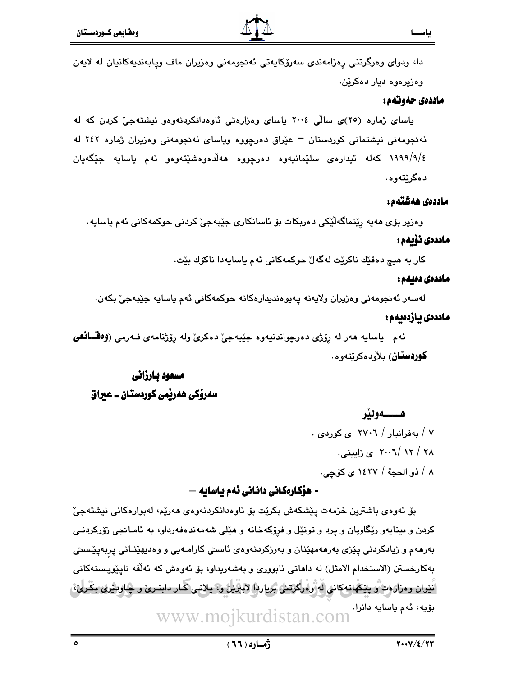دا، ودوای وەرگرتنى رەزامەندى سەرۆكايەتى ئەنجومەنى وەزيران ماف ويابەنديەكانيان لە لايەن وهزيرهوه ديار دهكرێن.

#### ماددەى حەوتەم :

پاسای ژماره (۲۰)ی سالّی ۲۰۰٤ پاسای وهزارهتی ناوهدانکردنهوهو نیشتهجیّ کردن که له ئەنجومەنى نيشتمانى كوردستان – عيراق دەرچووە وياساى ئەنجومەنى وەزيران ژمارە ٢٤٢ لە ١٩٩٩/٩/٤ کهله ئیدارهی سلێمانیهوه دهرچووه ههلّاهوهشێتهوهو ئهم یاسایه جێگهیان دەگرێتەوە.

#### ماددەى ھەشتەم:

وەزير بۆي ھەپە رێنماگەڵێكى دەربكات بۆ ئاسانكارى جێبەجى٘ كردنى حوكمەكانى ئەم ياساپە

### ماددەى ئۆىمە:

كار به هيچ دەقێك ناكرێت لەگەلٚ حوكمەكانى ئەم ياسايەدا ناكۆك بێت.

### ماددەى دەيەم :

لەسەر ئەنجومەنى وەزيران ولايەنە يەيوەندېدارەكانە حوكمەكانى ئەم ياسايە جێبەجىٚ بكەن.

### ماددەى يازدەيەم :

ئهم ياسايه هەر له رۆژى دەرچواندنيەوە جێبەجىٚ دەكرىٰ وله رۆژنامەي فـەرمى (**وەقسائقى كوردستان**) بلأودهكريتەوه .

# مسعود بارزاني سەرۆكى ھەربمى كوردستان ــ عيراق

هـــــهولند ۷ / مەفراندار / ۲۷۰٦ ي كوردى .  $\cdot$ ۲۰۰٦/ ۱۲ /۲۰۰٦ ی زایستی ٨ / ذو الحجة / ١٤٢٧ ي كۆچى.

# · هۆكارەكانى دانانى ئەم ياسايە —

بۆ ئەوەي باشترين خزمەت يێشكەش بكرێت بۆ ئاوەدانكردنەوەي ھەرێم، لەبوارەكانى نيشتەجىٚ کردن و بینایهو رێگاوبان و پرد و تونێل و فرۆکهخانه و هێلی شهمهندهفهرداو، به ئامـانجی زۆرکردنـی بەرھەم و زیادکردنی یێزی بەرھەمھێنان و بەرزکردنەوەی ئاستی کارامـەیی و وەدىھێنـانی یربەیێـستی بهكارخستن (الاستخدام الامثل) له داهاتي ئابووري و بهشهريداو، بِقِ ئَهوهش كه ئهلُقه نايِيْويستهكاني َ نَيْوان وەزارەتْ و يێػّھاتەكانى لەرھارگرتنى برياردا لابلاين و؟ يلانبى كار دابنىرى و چاودىرى بكىرى، بۆيە، ئەم ياسايە دانرا. www.mojkurdistan.com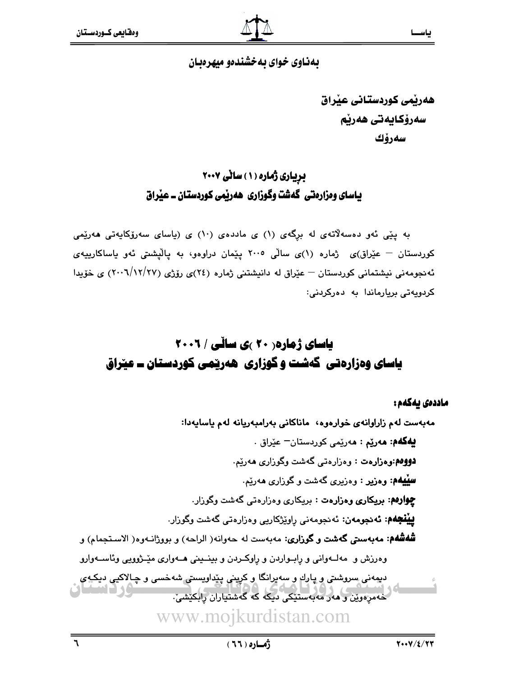# بهناوی خوای به خشندهو میهرهبان

هەربمي كوردستاني عيراق سەرۆكايەتى ھەرپم سەرۆك

# بریاری ژماره (۱) ساٽي ۲۰۰۷ باسای ومزارهتی گهشت وگوزاری ههریمی کوردستان ــ عیراق

به پێی ئەو دەسەلاتەی لە برگەی (۱) ی ماددەی (۱۰) ی (پاسای سەرۆکاپەتی ھەرێمی کوردستان – عێراق)ی ژماره (۱)ی سالّی ۲۰۰۵ پیّمان دراوهو، به پالیشتی ئهو پاساکارییهی ئهنجومهنی نیشتمانی کوردستان – عیّراق له دانیشتنی ژماره (٢٤)ی رۆژی (٢٧/١٢/٢٧) ی خوّیدا كردويەتى بريارماندا بە بەركرىنى:

# **یاسای ژماره ( ۲۰ )ی سائی / ۲۰۰۲** یاسای وهزارهتی گەشت وگوزاری هەرپمی کوردستان ــ عیراق

ماددەى بەكەم :

مەبەست لەم زاراوانەي خوارەوە، ماناكانى بەرامبەريانە لەم ياسايەدا: **يەگەم: مەرێم : م**ەرێمى كوردستان<sup>ــ</sup> عێراق . دووهم:وهزارهت : وهزارهتي گهشت وگوزاري ههريم. **سِيْيهُم: وەزير :** وەزيرى گەشت و گوزارى ھەرێم. چوارهم: بریکاری وهزارهت : بریکاری وهزارهتی گهشت وگوزار. **پینجهم: ئەدجومەن:** ئەدجومەنى راوێژكاریى وەزارەتى گەشت وگوزار. **شُهشُهُم: مەبەستى گەشت و گوزارى:** مەبەست لە حەوانە( الراحە) و بووژانـەوە( الاسـتجمام) و وهرزش و مهلـهواني و رابـواردن و راوكـردن و بينـيني هـهواري ميّـژوويي وئاسـهوارو ديمەنى سروشتى و پارك و سەپرانگا و كرينى پێداويستى شەخسى و چـالاكيى دېكيەي .<br>خەمرەوين و ھەر مەبەستىكى دىكە كە گەشتياران رابكىشى. www.mojkurdistan.com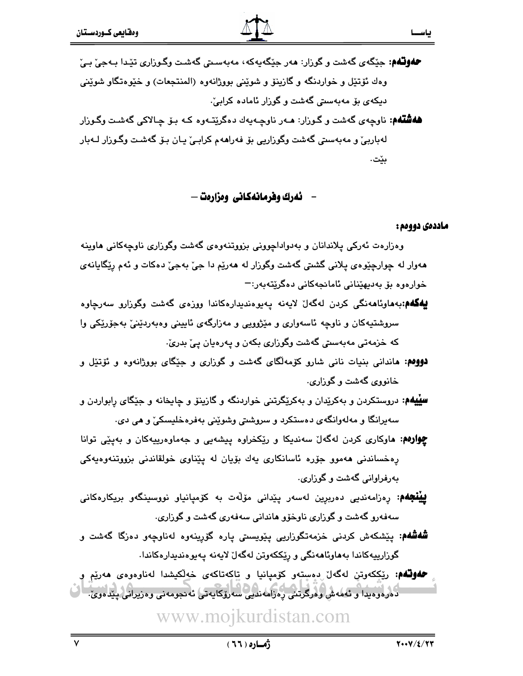**حفوتهم**: جێگەی گەشت و گوزار: ھەر جێگەيەكە، مەبەسىتى گەشىت وگـوزارى تێدا بـەجىٚ بـىٚ وهك ئۆتێل و خواردنگه و گازينۆ و شوێنى بووژانەوه (المنتجعات) و خێوەتگاو شوێنى دیکهی بۆ مەبەسىتى گەشت و گوزار ئامادە كرابىْ

**ههشتهم**: ناوچهی گهشت و گـوزار: **م**ـهر ناوچـهیهك دهگرێتـهوه كـه بـۆ چـالاكى گهشـت وگـوزار لەباربىّ و مەبەسىتى گەشت وگوزاريى بۆ فەراھەم كرابـىّ يـان بـۆ گەشىت وگـوزار لــەبار بێۣت.

- ئەرك وفرمانەكانى وەزارەت —

### ماددەى دووەم :

 $\mathbf{r}$ 

ياســ

وهزارهت ئەركى پلاندانان و بەدواداچوونى بزووتنەوەي گەشت وگوزارى ناوچەكانى ھاوينە ههوار له چوارچێوهۍ پلانی گشتی گهشت وگوزار له ههرێم دا جیّ بهجیّ دهکات و ئهم رِپّگایانهی خوارەوە بۆ بەديھێنانى ئامانجەكانى دەگرێتەبەر:¬

- **لِيُهگُمُم:**بەھاوئاھەنگى كردن لەگەلْ لايەنە پەيوەندىدارەكاندا ووزەى گەشت وگوزارو سەرچاوە سروشتیهکان و ناوچه ئاسەواری و مێژوویی و مەزارگەی ئايینی وەبەردێنی بەجۆرێکی وا که خزمهتی مهبهستی گهشت وگوزاری بکهن و پهرهیان پیّ بدریؒ
- **دووهم: م**اندانی بنیات نانی شارو کۆمەلگای گەشت و گوزاری و جێگای بووژانەوه و ئۆتێل و خانووي گەشت و گوزارى.
- **سییهم:** دروستکردن و بهکریدان و بهکریگرتنی خواردنگه و گازینو و چایخانه و جیکای رِابواردن و سەيرانگا و مەلەوانگەى دەستكرد و سروشتى وشوێنى بەفرەخليسكىٚ و ھى دى.
- **چِوارهم: م**اوکاری کردن لهگهلٌ سەندیکا و رێِکخراوه پیشەیی و جەماوەرییەکان و بەپێی توانا پەخساندنى ھەموو جۆرە ئاسانكارى يەك بۆيان لە پێناوى خولقاندنى بزووتنەوەيەكى بەرفراوانى گەشت و گوزارى.
- **پِیْنْجَهُم:** ڕەزامەندىي دەربرِين لەسەر پێدانى مۆڵەت بە كۆمپانیاو نووسىينگەو بریكارەكانى سەفەرو گەشت و گوزارى ناوخۆو ھاندانى سەفەرى گەشت و گوزارى.
- **شُهشُهم**: پێشکهش کردنی خزمهتگوزاریی پێویستی پاره گۆرپنەوه لەناوچەو دەزگا گەشت و گوزارییهکاندا بههاوئاهەنگی و رِی٘ککەوتن لەگەلْ لایەنە پەيوەندیدارەکاندا.

کے استعمال کردہ و میدا و تعملہ ش و ورکرتنی پہرامہ ندیے سہ روکان کے شہر معنی وہ زیرانی پیدا ہوئے۔<br>استعمال کارولو میدا و تعملہ ش وفرگرتنی پہرامہ ندیے سہ روکانیہ تی تہ نجومہ نی وہ زیرانی پیدا ہوئے۔ **حمونهم**: رێڮکەوتن لەگەل دەستەو كۆمپانيا و تاكەتاكەى خەلكيشدا لەناوەوەى ھەرێم و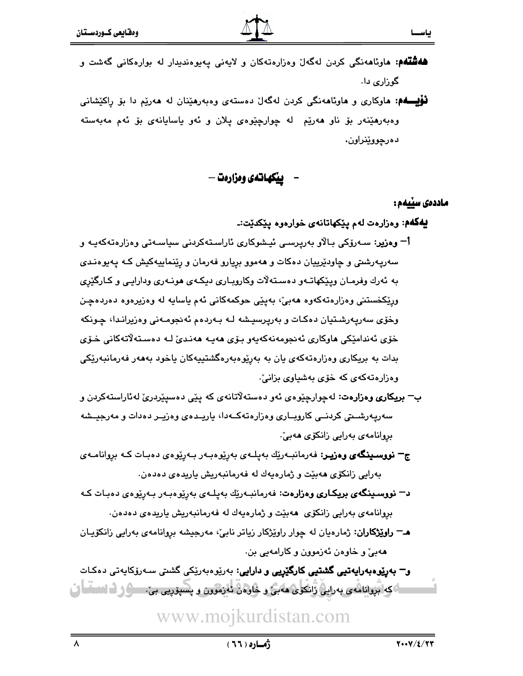- **ههشتهم: م**اوئامەنگی کردن لەگەل وەزارەتەکان و لايەنى پەيوەندىدار لە بوارەکانى گەشت و گوراری دا.
- **نوْلِیـــهم: م**اوکاری و ماوئامەنگی کردن لەگەل دەستەی وەبەرمێنان لە مەرێم دا بۆ راکێشانی وەبەرھێنەر بۆ ناو ھەرێم لە چوارچێوەی پلان و ئەو ياسايانەی بۆ ئەم مەبەستە دەرچووێنراون.

**ييكهاتهى ومزارهت —** 

#### ماددەى سۆبەم :

- يهگهم: وهزارهت لهم يێکهاتانهي خوارهوه يێکدێت:ـ
- آ= وەزير: سـﻪرۆكى بـالاو بەريرسـى ئيـشوكارى ئاراسـتەكردنى سياسـەتى وەزارەتەكەيـە و سهرپهرشتي و چاودێرییان دهکات و ههموو بریارو فهرمان و رێنماییهکیش کـه پهیوهنـدی به ئەرك وفرمـان ويـێكهاتـەو دەسـتەلات وكاروبـارى ديكـەى ھونـەرى ودارايـى و كـارگێرى ورٽِکخستني وهزارهتهکهوه ههٻي، بهيٽي حوکمهکاني ئهم ياسايه له وهزيرهوه دهردهچن وخۆی سەرپەرشىتيان دەكـات و بەرپرسيىشە لـە بـەردەم ئەنجومـەنى وەزيرانـدا، چـونكە خۆي ئەندامێكى ھاوكارى ئەنجومەنەكەپەو بىۆي ھەپ ھەنىدى لـە دەسـتەلاتەكانى خىۆي بدات به بریکاری وهزارهتهکهی یان به بهریوهبهرهگشتییهکان یاخود بهههر فهرمانبهریکی وهزارهتهکهی که خوی بهشیاوی بزانی .
- ب<sup>—</sup> ب**ريکاري وهزارهت**: لهچوارچێوهي ئهو دهستهلاتانهي که پێې دهسپێردرێ لهئاراستهکردن و سەريەرشىتى كردىنى كاروبىارى وەزارەتەكـەدا، ياريـدەي وەزيـر دەدات و مەرجيـشە بروانامەي بەرايى زانكۆي ھەبىْ.
- ج<sup>—</sup> نووسىينگەي وەزيىر: فەرمانبـەرێك بەيلـەي بەرێوەبـەر بـەرێوەي دەبـات كـە بروانامـەي بەرايى زانكۆي ھەبێت و ژمارەيەك لە فەرمانبەريش ياريدەي دەدەن.
- **د− نووسىينگەى بريكارى وەزارەت**: فەرمانبـەرێك بەيلـەى بەرێوەبـەر بـەرێوەى دەبـات كـە بروانامەي بەرايى زانكۆى ھەبێت و ژمارەپەك لە فەرمانبەريش يارىدەي دەدەن.
- هـ<del>–</del> **راوێژکاران**: ژمارەيان له چوار راوێژکار زياتر نابي، مەرجيشە بروانامەي بەرايى زانکۆيـان ههبيؒ و خاوهن ئەزموون و كارامەيى بن.

**و<sup>—</sup> بەرێوەبەراپەتپى گشتپى كارگێرىي و دارايى**: بەرێوەبەرێكى گشىتى سـەرۆكاپەتى دەكـات اگک بروانامه ی به رایی زانکوی هه بی و خاوهن ئه زموون و پسپوریی بی . سرگ از اناساسا ان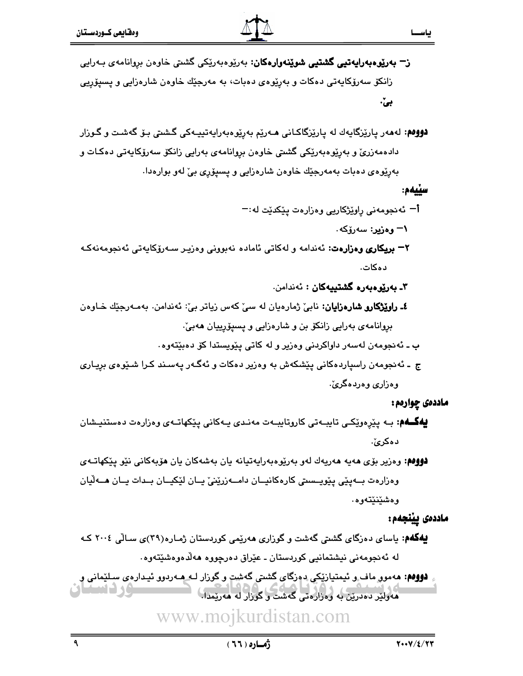- ز<del>–</del> **بەرێوەبەرايەتىيى گشتىيى شوێنەوارەكان**: بەرێوەبەرێِكى گشىتى خاوەن بروانامەي بـەرايى زانکۆ سەرۆکايەتى دەکات و بەرێوەي دەبات، بە مەرجێك خاوەن شارەزايى و پسىۆرىي بیّ·
- **دوومم:** لەمەر پارێزگايەك لە پارێزگاكـانى مـەرێم بەرێوەبەرايەتييـەكى گـشتى بـۆ گەشـت و گـوزار دادەمەزرىّ و بەرپورەبەريّكى گشىتى خاوەن بروانامەي بەرايى زانكۆ سەرۆكايەتى دەكـات و بەرێوەی دەبات بەمەرجێك خاوەن شارەزايى و پسىپۆرى بىّ لەو بوارەدا.

#### سٽيھم:

- أ− ئەنجومەنى راوێژكاريى وەزارەت پێكدێت لە:−
	- ۱= وهزیر: سەرۆكە
- ۲<del>–</del> ب**ریکاری وهزارهت**: ئەندامە و لەکاتی ئامادە نەبوونی وەزیـر سـەرۆکايەتى ئەنجومەنەكـە دەكات.
	- ۳ـ بەريوەبەرە گشتىيەكان : ئەندامن.
- **٤ـ راوێۣژکارو شارەزايان:** نابئ ژمارەيان لە سىٚ كەس زياتر بىٰ: ئەندامن. بەمـەرجێك خـاوەن بروانامەي بەرايى زانكۆ بن و شارەزايى و يسىۆرييان ھەبى،
	- ب ـ ئەنجومەن لەسەر داواكردنى وەزير و لە كاتى يێويستدا كۆ دەبێتەوە٠
- ج ـ ئەنجومەن راسپاردەكانى يێشكەش بە وەزير دەكات و ئەگـەر پەسـند كـرا شـێوەي برپـارى وهزاري وهردهگرئ.

### ماددەى چوارەم :

- **ليەگـــەم:** بــه پێرەوێِکــى تايبــەتى کاروتايبــەت مەنـدى پــەکانى پێکھاتــەى وەزارەت دەستنيــشان دهكرئ.
- **دووهم:** وەزیر بۆی مەيە مەريەك لەو بەرێوەبەرايەتيانە يان بەشەكان يان مۆيەكانى نێو يێكهاتـەي وەزارەت بــەيێى يێويــستى كارەكانيــان دامــەزرێنێ يــان لێكيــان بــدات يــان ھــەڵيان وەشێنێتەوە.

ماددەى يينجەم:

- **بیهگهم**: پاسای دهزگای گشتی گهشت و گوزاری ههریمی کوردستان ژمـاره(۳۹)ی سـالّی ۲۰۰٤ کـه له ئەنجومەنى نيشتمانيى كوردستان ـ عێراق دەرچووە ھەلّدەوەشێتەوە٠
- **دوومم**: مەمور ماف و ئيمتيازێکي دەزگاي گشتي گەشت و گوزار لـه مـەردوو ئيـدارەي سـلێمانى و مەولتر دەدرتن بە وەزارەتى گەشت و گوزار لە ھەرتمدا .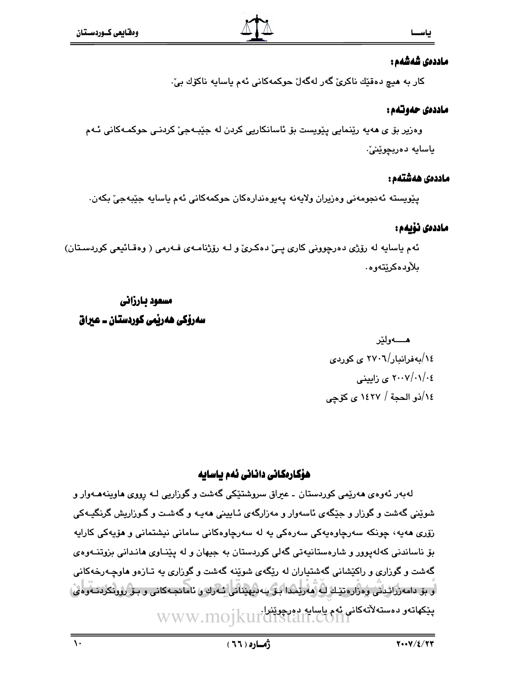### ماددەى شەشەم :

كار به هيچ دەقٽك ناكرىّ گەر لەگەلّ حوكمەكانى ئەم ياسايە ناكۆك بىّ:

### ماددهی حدوتدم :

وەزیر بۆ ی ھەيە رێنمايی پێویست بۆ ئاسانکاریی کردن لە جێبـەجیٚ کردنـی حوکمـەکانی ئـەم ياسايە دەربچوێنێ.

### ماددەى ھەشتەم :

يٽويسته ئەنجومەنى وەزيران ولايەنە يەيوەندارەكان حوكمەكانى ئەم ياسايە جێبەجێ بكەن.

### ماددەى نۆبەم :

ئهم ياسايه له رۆژى دەرچوونى كارى پـێ دەكـرێ و لـﻪ رۆژنامـﻪى فـﻪرمى ( وەقـائيعى كوردسـتان) ىلأودەكرێتەوە.

# مسعود بارزاني سەرۆكى ھەربىي كوردستان ــ عبراق

هــــــه و لخر ١٤/بەفرانبار/٢٧٠٦ ي كوردي ۲۰۰۷/۰۱/۰٤ ی زایینی ١٤/(ذو الحجة / ١٤٢٧ ي كۆچى

# ھۆكارەكانى دانانى ئەم باسايە

لهبهر ئهوهي ههريمي کوردستان ۔ عبراق سروشتێکي گهشت و گوزاريي لـه رووي هاوينههـهوار و شوێنی گهشت و گوزار و جێگهی ئاسهوار و مهزارگهی ئـابینی ههیـه و گهشـت و گـوزاریش گرنگیـهکی زۆرى ھەپە، چونكە سەرچاوەپەكى سەرەكى پە لە سەرچاوەكانى سامانى نېشتمانى و ھۆپەكى كاراپە بق ناساندنی کهلهیوور و شارهستانیهتی گهلی کوردستان به جیهان و له پیّنـاوی هانـدانی بزوتنــهوهی گهشت و گوزاری و راکێشانی گهشتیاران له رێگهی شوێنه گهشت و گوزاری یه تـازهو هاوچـهرخهکانی او بۆ دامەررائدىنى ۋەرارەتتىك لەرمەرتىدا بىق بەدىھتنانى ئەرك ۇ ئامادجەكانى و بىق رۇرىكردىنەوەي، پێکهاتهو دهستهلأتهکانی ئهم باسابه دورچوێثرا.<br>WWW.MOJKUI CHStaff.COMI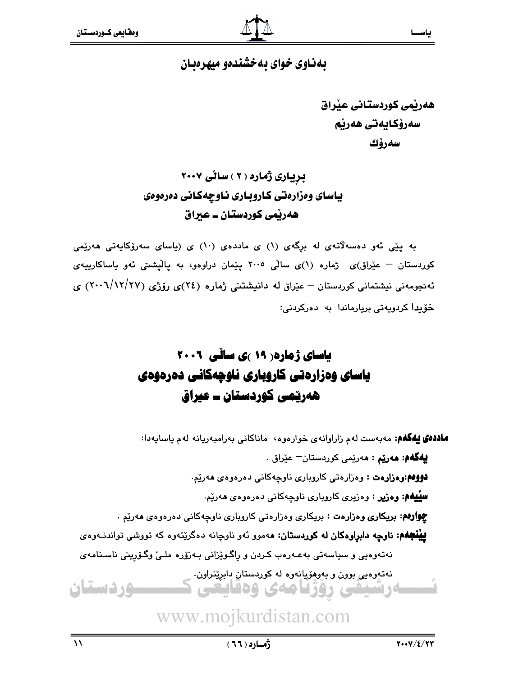# بهناوی خوای به خشندهو میهرهبان

هەربمي كوردستاني عبراق سەرۆكايەتى ھەرپم سەرۆك

بریاری ژماره ( ۲ ) ساٽی ۲۰۰۷ ياسای وهزارهتی کاروباری ناوچهکانی دهرهوهی ههريمي کوردستان ــ عبراق

به یێی ئەو دەسەلاتەی لە برگەی (۱) ی ماددەی (۱۰) ی (یاسای سەرۆکاپەتی ھەرێمی کوردستان – عیّراق)ی ژماره (۱)ی سالّی ۲۰۰۵ ییّمان دراوهو، به یالیّشتی ئهو یاساکارییهی ئەنجومەنى نیشتمانى كوردستان – عێراق لە دانیشتنى ژمارە (٢٤)ى رۆژى (٢٧/١٢/١٢) ى خۆيدا كردويەتى بريارماندا بە دەركردنى:

# یاسای ژماره ( ۱۹ )ی سالّی ۲۰۰۱ یاسای وهزارهتی کاروباری ناوچهکانی دهرهوهی هەريىمى كوردستان ــ عيراق

ماددهی پهکهم: مەبەست لەم زاراوانەي خوارەوە، ماناكانى بەرامبەريانە لەم ياسايەدا:

**بيهگهم: مەرێم : م**ەرێمى كوردستان<sup>—</sup> عێراق . **دووهم:وهزارهت :** وهزارهتي كاروباري ناوچهكاني دهرهووهي ههريم. **سِلِيههم: وەزیر :** وەزیری کاروباری ناوچەکانی دەرەوەی ھەرێم. **چوارهم: بریکاری وهزارهت :** بریکاری وهزارهتی کاروباری ناوچهکانی دهرهوهی ههریم . **پینجهم: ناوچه دابراوهکان له کوردستان: م**هموو ئهو ناوچانه دهگریِّتهوه که تووشی تواندنـهوهی نەتەوەيى و سياسەتى بەعـەرەب كـردن و رِاگـوێزانى بـەزۆرە ملـىٚ وگـۆرپىنى ناسـنامەي 

www.mojkurdistan.com

<u>ـوردستان</u>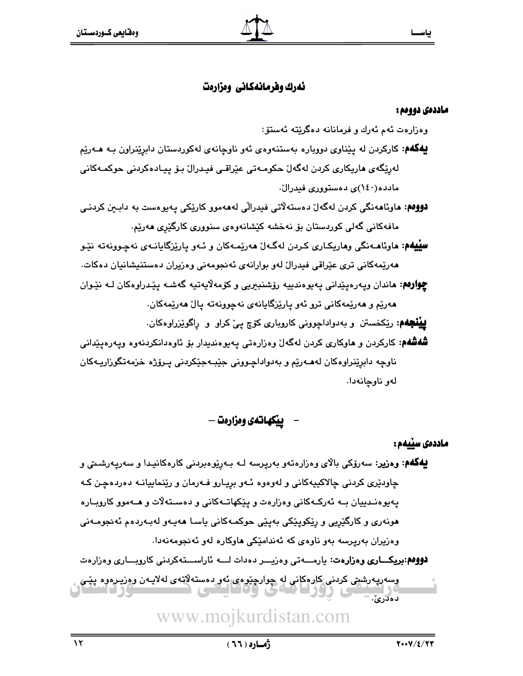# نهرك وفرمانهكاني ومزارهت

#### ماددەي دووەم :

وەزارەت ئەم ئەرك و فرمانانە دەگرێتە ئەستۆ:

- **پهگهم**: کارکردن له پێناوي دووباره بهستنهوهي ئهو ناوچانهي لهکوردستان دابرێنراون بـه هــهرێم لەرێگەی ماریکاری کردن لەگەل ٘حکومـەتی عێراقـی فیـدرال ٘ بـۆ پیـادەکردنی حوکمـەکانی مادده(۱٤۰)ی دهستووری فیدرال.
- **دووهم: م**اوئامەنگی کردن لەگەل دەستەلاتی فیدرالّی لەمەمور کارێکی پەيوەست بە دابـین کردنـی مافەكانى گەلى كوردستان بۆ نەخشە كێشانەوەي سنوورى كارگێرى ھەرێم.
- **سِلِيهُم: م**اوئامـهنگي وماريکـاري کـردن لهگـهلّ مهريّمـهکان و ئـهو ياريّزگايانـهي نهچـوونهته نێـو هەرێمەكانى ترى عێراقى فيدرال لەو بوارانەي ئەنجومەنى وەزيران دەستنيشانيان دەكات. **چوارهم: م**اندان ويەرەيێدانى يەيوەندىيە رۆشنبېريى وكۆمەلايەتيە گەشـە يێدراوەكان لـە نێـوان مەرێم و مەرێمەكانى ترو ئەو پارێزگايانەي نەچوونەتە پالٚ مەرێمەكان.

**يينْجُهُم:** رێڬۻٮٽن و بهدواداڇووني کاروباري کۆچ يې کراو و راگوێزراوهکان.

**شُهشُهم:** کارکردن و هاوکاری کردن لهگهلّ وهزارهتی یهیوهندیدار بۆ ئاوهدانکردنهوه ویهرهپیّدانی ناوچه دابريٽراوهکان لهھـهريم و بهدواداجـووني جيّبـهجيکردني پـروّژه خزمهتگوراريـهکان لەو ناوچانەدا.

يبْكهاتهى ومزارمت —

ماددەى سىيەم:

**لِيُهگُهُم: وەزير:** سەرۆكى بالاي وەزارەتەو بەرپرسە لـە بـەرێوەبردنى كارەكانيـدا و سەرپـەرشـىتى و چاودێری کردنی چالاکپیهکانی و لهوهوه ئـهو برپـارو فـهرمان و رێنماییانـه دهردهچـن کـه پەيوەنـدىيان بـﻪ ئەركـﻪكانى وەزارەت و پێكھاتـﻪكانى و دەسـتەلاّت و ھـﻪموو كاروبـارە هونەرى و كارگێريى و رێکوپێکى بەيێى حوکمـﻪکانى ياسـا ھەپـﻪو لەبـﻪردەم ئەنجومـﻪنى وهزیران بهرپرسه بهو ناوهی که ئهندامیکی هاوکاره لهو ئهنجومهنهدا.

**دووهم:بريكـــاري ومزارهت:** يارمــــهتي ومزيـــر دهدات لــــه ئاراســــتهكردني كاروبـــاري ومزارهت

وسەرپەرشتى كردنى كارەكانى لە چوارچێوەي ئەو دەستەلاتەي لەلايـەن وەزيـرەوە پێـي  $\frac{1}{2}$  ...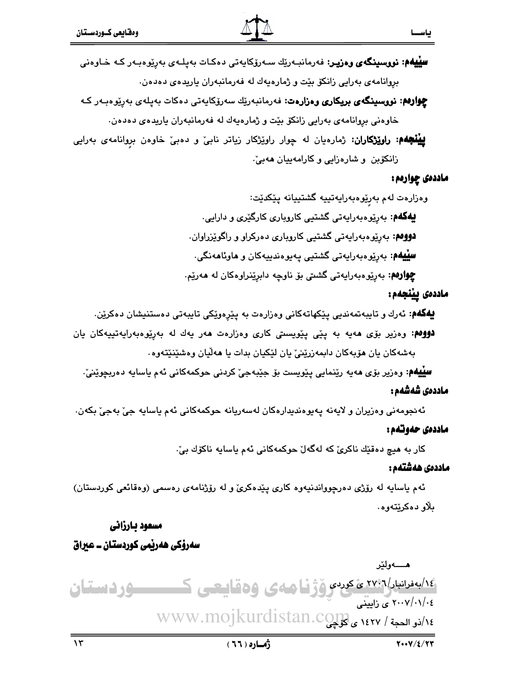**چوارەم: نووسىنگەي بريكارى وەزارەت: ن**ەرمانبەرێك سەرۆكايەتى دەكات بەيلەي بەرێوەبەر كە خاوهني بروانامهي بهرايي زانكۆ بێت و ژمارهيهك له فهرمانبهران ياريدهي دهدهن.

**بیبْنجهم: راوێِژکاران:** ژمارەیان له چوار راوێژکار زیاتر نابیؒ و دەبیؒ خاوەن بروانامەی بەرایی زانکوبن و شارهزایی و کارامهییان ههبیّ.

#### ماددهي چوارمم:

بياسيسيا

وەزارەت لەم بەرِێوەبەرايەتييە گشتييانە پێکدێت:

**بېفکهم**: بەرێوەبەرايەتى گشتيى كاروبارى كارگێرى و دارايى.

**دووهم**: بهرێوهبهرايهتي گشتيي کاروپاري دهرکراو و راگوێزراوان.

**سِیْیْمُم:** بەرێوەبەرايەتى گشتیى پەيوەندىيەكان و **م**اوئا**م**ەنگى·

**چوارهم**: بەرێوەبەرايەتى گشتى بۆ ناوچە دابرێنراوەكان لە ھەرێم.

### ماددەى يېنجەم :

**بيهگهم**: ئەرك و تايبەتمەندىي يێكهاتەكانى وەزارەت بە يێرەوێكى تايبەتى دەستنيشان دەكرێن.

**دوومم**: وەزیر بۆی مەيە بە يێى پێویستى کارى وەزارەت مەر يەك لە بەرێوەبەرايەتييەكان يان بەشەكان يان مۆپەكان دابمەزرێنىٚ يان لێكيان بدات يا ھەڵيان وەشێنێتەوە٠

**سِلْيهُم:** وەزیر بۆی مەيە رێنمايی يێویست بۆ جێبەجیٚ کردنی حوکمەکانی ئەم ياسايە دەربچوێنیٚ٠

### ماددەى شەشەم :

ئەنجومەنى وەزيران و لايەنە يەيوەندېدارەكان لەسەريانە حوكمەكانى ئەم ياسايە جىّ بەجىّ بكەن.

### ماددهی حدوتدم :

كار به هيچ دەقێك ناكرێ كە لەگەلٚ حوكمەكانى ئەم ياسايە ناكۆك بىٚ٠

### ماددەى ھەشتەم :

ئهم باسابه له رۆژى دەرچوواندنيەوە كارى بِيْدەكرىّ و له رۆژنامەي رەسمى (وەقائعى كوردستان) بلاو دەكرێتەوە.

# مسعود بارزاني

# سەرۆكى ھەربىي كوردستان ــ عيراق

هـــــه و لِنح ١٤/بەنرانبار/٢٧٧٦ ئ كردى ۆژنـا ھەي ۋەقايىعى ك **-9ردستان** ٢٠٠٧/٠١/٠٤ ى زايتنى ٧٤ / ١٤٢٧ ، ١٤٢٧ ى XWW.mojkurdistan.co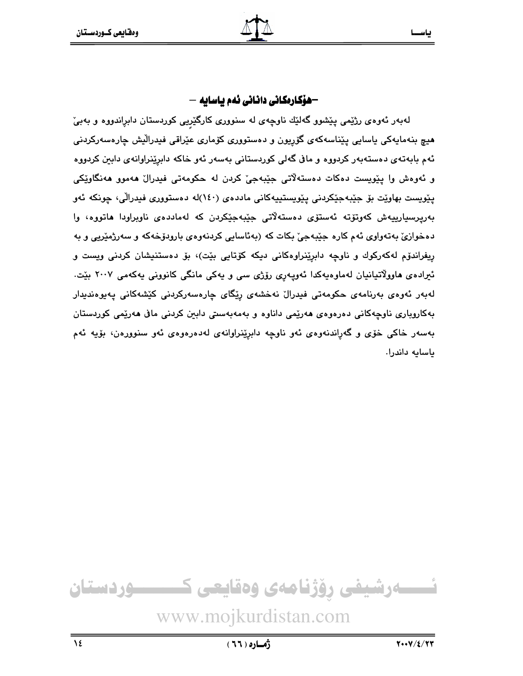# —هۆكارەكانى دانانى ئەم باسايە —

لهبهر ئهوهی رژێمی پێشوو گهلێك ناوچهی له سنووری كارگێرِیی كوردستان دابڕاندووه و بهبیٚ هيچ بنهمايەكى ياسايى پێناسەكەي گۆرپون و دەستوورى كۆمارى عێراقى فىدرالْيش چارەسەركردنى ئهم بابهتهی دهستهبهر کردووه و مافی گهلی کوردستانی بهسهر ئهو خاکه دابرِی٘نراوانهی دابین کردووه و ئەوەش وا يێويست دەكات دەستەلاتى جێبەجىٚ كردن لە حكومەتى فيدرالْ ھەموو ھەنگاوێكى يێويست بهاوێت بۆ جێبەجێکردنی يێويستيپەکانی ماددەی (١٤٠)له دەستووری فیدرالّی، چونکه ئەو بەرپرسپارىيەش كەوتۆتە ئەستۆى دەستەلاتى جێبەجێكردن كە لەماددەى ناوبراودا ھاتووە، وا دهخوازيّ بهتهواوي ئهم کاره جێبهجيّ بکات که (بهئاسايي کردنهوهي بارودوّخهکه و سهرژمێريي و به ریفراندۆم لەكەركوك و ناوچە دابرینراوەكانى دیكە كۆتايى بیْت)، بۆ دەستنیشان كردنى ويست و ئیراده یهاوولاتیانیان لهماوهیهکدا ئەوپەری رۆژی سی و یەکی مانگی کانوونی یەکەمی ۲۰۰۷ بیّت. لەبەر ئەوەي بەرنامەي حكومەتى فىدرال نەخشەي رِيْگاي چارەسەركردنى كێشەكانى پەيوەندىدار بهکاروباری ناوچهکانی دهرهوهی هەرێمی داناوه و بەمەبەسىتى دابین کردنی مافی هەرێمی کوردستان بهسهر خاکي خۆي و گهراندنهوهي ئهو ناوچه دابرپينراوانهي لهدهرهوهي ئهو سنوورهن، بۆيه ئهم ياسايه داندرا.

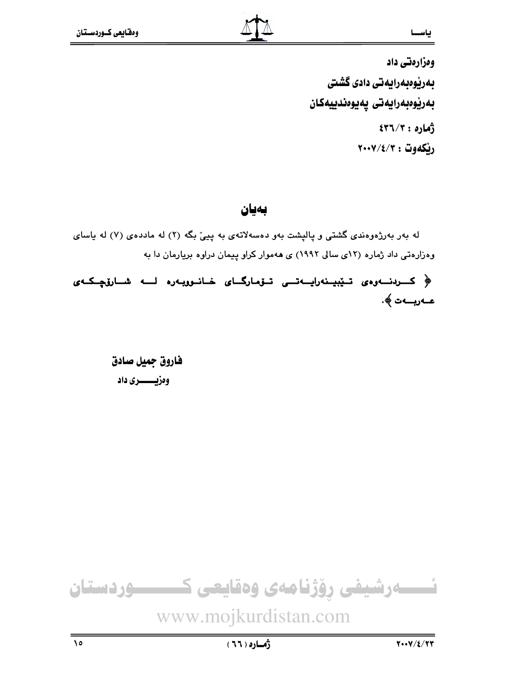وەزارەتى داد بەرێوەبەرايەتى دادى گشتى بەريوەبەرايەتى يەيوەندىيەكان  $577/7:919$ ريكەوت : ٢٠٠٧/٤/٣

بەيان

له بهر بهرژهوهندی گشتی و پالپشت بهو دهسهلاتهی به پییّ بگه (۲) له ماددهی (۷) له یاسای وهزارهتی داد ژماره (۱۲ی سالی ۱۹۹۲) ی ههموار کراو پیمان دراوه بریارمان دا به

﴿ کــردنــهوهى تــێبيـنهراپــهتـــى تــۆمارگــاى خـانــووپـهره لـــه شــارۆچــکــهى عـەربــەت ﴾.

> فاروق حميل صادق وەزيـــــــــرى داد

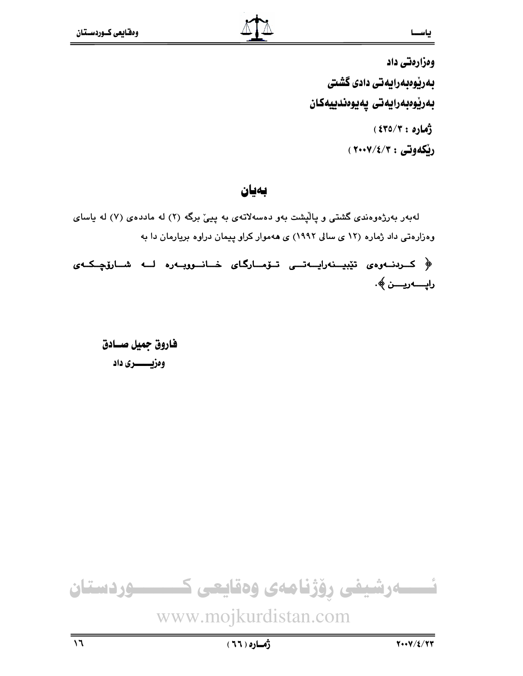وەزارەتى داد بەرێوەبەرايەتى دادى گشتى بەريوەبەرايەتى يەيوەندىيەكان زهاره: ٤٣٥/٣) ريكەوتى : ٢٠٠٧/٤/٣٠٢ )

بەيان

لهبهر بهرژهوهندی گشتی و پالیشت بهو دهسهلاتهی به پییّ برگه (۲) له ماددهی (۷) له یاسای وهزارهتی داد ژماره (۱۲ ی سالی ۱۹۹۲) ی ههموار کراو پیمان دراوه بریارمان دا به

﴿ كىرىنــەرەى تێبيــنەراپــەتـــى تــۆمــارگـاى خــانــووبــەرە لـــە شــارۆچــكــەى رايـــــەريـــــن ﴾.

فاروق جميل صسادق وەزيـــــــــرى داد

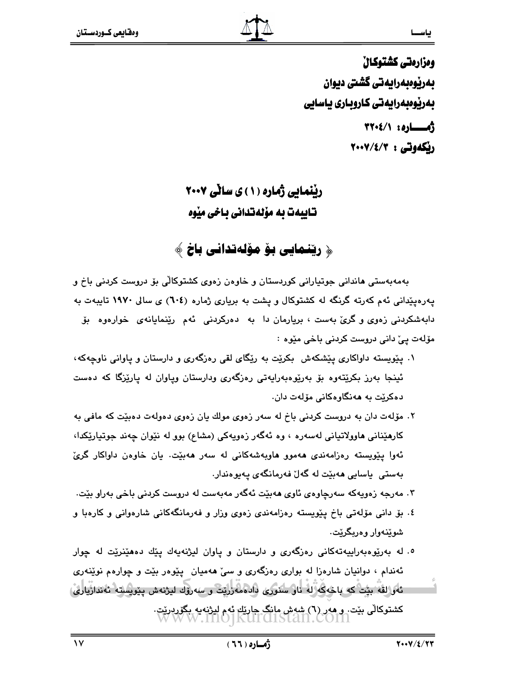ومزارمتي كشتوكال بەرپوەبەرايەتى گشتى ديوان بەرپوەبەرايەتى كاروبارى ياسايى أمساره: ٢٢٠٤/١ ريكەوتى : ٢٠٠٧/٤/٣

# ریْنَمایی ژَماره (۱) ی سانی ۲۰۰۷ تـابيدت به مۆلەتدانى بـاخى مێوه

# ﴿ ریِّنمایی بِوْ مؤلِّهتدانی باخ ﴾

بەمەبەستى ھاندانى جوتپارانى كوردستان و خاوەن زەوى كشتوكالى بۆ دروست كردنى باخ و پهرهیپدانی ئهم کهرته گرنگه له کشتوکال و پشت به بریاری ژماره (٦٠٤) ی سالی ۱۹۷۰ تایبهت به دابهشکردنی زهوی و گری بهست ، بریارمان دا به دهرکردنی ئهم رینمایانهی خوارهوه بوّ مۆلەت يےٚ دانى دروست كردنى باخى مێوە :

- ۰۱ پیویسته داواکاری پیشکهش بکریت به ریگای لقی رهزگهری و دارستان و پاوانی ناوچهکه، ئینجا بەرز بکرێتەوە بۆ بەرێوەبەراپەتى رەزگەرى ودارستان وپاوان لە پارێزگا كە دەست دەكرێت بە ھەنگاوەكانى مۆلەت دان.
- ۲. مۆلەت دان بە دروست كردنى باخ لە سەر زەوى مولك يان زەوى دەولەت دەبێت كە مافى بە کارهێنانی هاوولاتیانی لهسهره ، وه ئهگهر زهویهکی (مشاع) بوو له نێوان چهند جوتیارێکدا، ئەوا يێويستە رەزامەندى ھەموو ھاوبەشەكانى لە سەر ھەبێت. يان خاوەن داواكار گرئ بەستى پاسايى ھەبێت لە گەل فەرمانگەي پەيوەندار.
- ۳. مەرجە زەويەكە سەرچاوەي ئاوي ھەبێت ئەگەر مەبەست لە دروست كردنى باخى بەراو بێت.
- ٤. بۆ دانىي مۆلەتىي باخ يێويستە رەزامەندى زەوى وزار و فەرمانگەكانى شارەوانى و كارەبا و شوێنەوار وەربگرێت.
- ۰- له بهرێوهبهراییهتهکانی رهزگهری و دارستان و پاوان لیژنهیهك پێك دههێنرێت له چوار ئهندام ، دوانیان شارهزا له بواری رهزگهری و سیّ ههمیان پیپوهر بیّت و چوارهم نویندوی ئەۋالقە بېت كە باخەكە لە ناۋ سىورى دادەمەزرىت و سەرۆك لىۋنەش يېرىسىتە ئەندازيارى، کشتوکالی بنت. و هەر (٦) شەش مانگ چارتك ئەم لىژنەيە بگۆردرتت.<br>W W W . IIIO] KUITOISTAN. COIN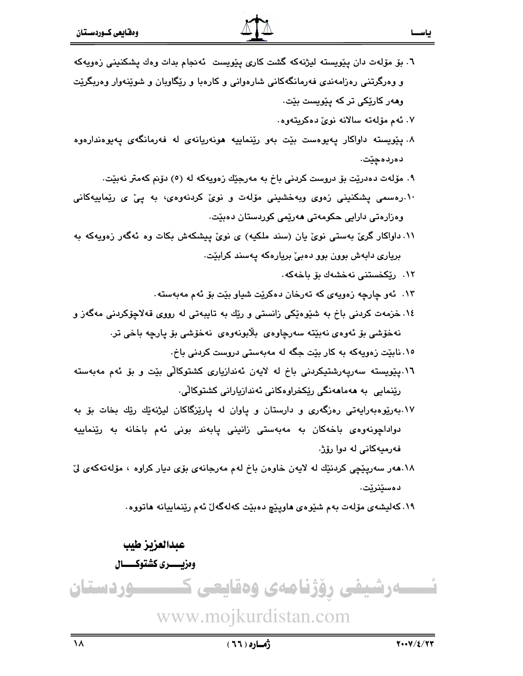٦. بۆ مۆلەت دان يێويستە ليژنەكە گشت كارى يێويست ئەنجام بدات وەك يشكنينى زەويەكە و وەرگرتنىي رەزامەندى فەرمانگەكانى شارەوانى و كارەبا و رێگاوبان و شوێنەوار وەربگرێت وههر کارێِکی تر که پێویست بێت٠ ۰۷ ئەم مۆلەتە سالانە نوێ دەكريتەوە. ۸. پێویسته داواکار پەيوەست بێت بەو رێنماييە ھونەريانەی لە فەرمانگەی پەيوەندارەوە دەردەچێت. ۹. مۆلەت دەدريّت بۆ دروست كردنى باخ بە مەرجِيّك زەويەكە لە (٥) دۆنم كەمتر نەبيّت. ۱۰.رەسىمى پشكنىنى زەوى وبەخشىنى مۆلەت و نوىٰ كردنەوەي، بە پىْ ي رێماييەكانى وەزارەتى دارايى حكومەتى ھەرێمى كوردستان دەبێت. ۱۱. داواکار گریؒ بهستی نویؒ یان (سند ملکیه) ی نویؒ پیشکهش بکات وه ئهگهر زهویهکه به برياري دابهش بوون بوو دهبيّ بريارهکه پهسند کرابێت. ۱۲. ریکخستنی نهخشهك بق باخهکه. ۱۳. ئەو چارچە زەويەي كە تەرخان دەكرێت شياو بێت بۆ ئەم مەبەستە. ۱٤. خزمهت کردنی باخ به شنیوهنیکی زانستی و ریّك به تایبهتی له رووی قهلاچۆکردنی مهگهز و نەخۆشى بۆ ئەوەي نەبېيتە سەرچاوەي بلابونەوەي نەخۆشى بۆ يارچە باخى تر. ۱۰. نابێت زەويەكە بە كار بێت جگە لە مەبەستى دروست كردنى باخ. ١٦.پێویسته سەریەرشتیکردنی باخ له لایەن ئەندازیاری کشتوکالّی بێت و بۆ ئەم مەبەستە رێنمایی به مەمامەنگی رێِکخراوەکانی ئەندازیارانی کشتوکالّی. ۱۷.بەرێوەبەرايەتى رەزگەرى و دارستان و ياوان لە يارێزگاكان ليژنەێك رێك بخات بۆ بە دواداچونەوەى باخەكان بە مەبەستى زانينى پابەند بونى ئەم باخانە بە رێنماييە فەرميەكانى لە دوا رۆژ. ۱۸.مەر سەريێچى كردنێك لە لايەن خاوەن باخ لەم مەرجانەي بۆي ديار كراوە ، مۆلەتەكەي لىٚ دەسێنرێت. ۱۹. کهلیشهی مۆلەت بەم شێوەی ماوپێچ دەبێت کەلەگەلٚ ئەم رێنماييانە ماتووە.

عبدالعزيز طيب وەزيـــــــرى كشتوكـــــــال ےرشیفی رؤژنامەی وەقايعی ك <u>سوردستان</u>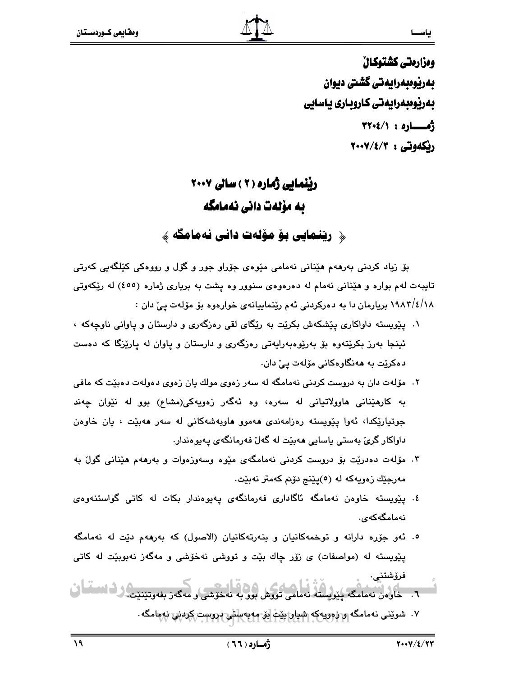ومزارمتي كشتوكال بەرپوەبەرايەتى گشتى ديوان بەرپوەبەرايەتى كاروبارى ياسايى  $\sqrt[4]{1 \cdot 2}$ رنكەوتى : ٢٠٠٧/٤/٣

# ریْنْمایی ژماره ( ۲ ) سالی ۲۰۰۷ ىە مۆلەت دانى نەمامگە

﴿ ریِّنمایی بِوْ مِوْلِهِت دانی نهمامگه ﴾

بۆ زياد كردنى بەرھەم ھێنانى نەمامى مێوەي جۆراو جور و گۆل و رووەكى كێلگەيى كەرتى تایبهت لهم بواره و هیِّنانی نهمام له دهرهوهی سنوور وه یشت به بریاری ژماره (٤٥٥) له ریِّکهوتی ۱۸/۱/٤/۱۸ بریارمان دا به دهرکردنی ئهم رینماییانهی خوارهوه بو موّلهت ییّ دان :

- ۰۱ پیویسته داواکاری پیشکهش بکریت به ریکای لقی رهزگهری و دارستان و پاوانی ناوجهکه ، ئینجا بهرز بکریتهوه بۆ بەرپوەبەرايەتى رەزگەرى و دارستان و ياوان له ياریزگا که دەست دەكرێت بە ھەنگاوەكانى مۆلەت يې دان.
- ۲. مۆلەت دان بە دروست كردنى نەمامگە لە سەر زەوى مولك يان زەوى دەولەت دەبێت كە مافى به کارهێنانی هاوولاتیانی له سهره، وه ئهگهر زهویهکی(مشاع) بوو له نێوان چهند جوتپارێِکدا، ئەوا پێویستە رەزامەندى ھەموو ھاوبەشەکانى لە سەر ھەبێت ، يان خاوەن داواکار گرئ بەستى ياسايى ھەبێت لە گەلٚ فەرمانگەی يەيوەندار.
- ۳. مۆلەت دەدرێت بۆ دروست كردنى نەمامگەى مێوە وسەوزەوات و بەرھەم ھێنانى گولٌ بە مەرجێك زەويەكە لە (٥)يێنج دۆنم كەمتر نەبێت.
- ٤. يێويسته خاوەن نەمامگە ئاگادارى فەرمانگەى يەيوەندار بكات لە كاتى گواستنەوەى نەمامگەكەي.
- ٥. ئهو جۆره دارانه و توخمهكانيان و بنهرتهكانيان (الاصول) كه بهرههم دێت له نهمامگه پێویسته له (مواصفات) ی زۆر چاك بێت و تووشی نهخۆشی و مهگەز نەبوبێت له كاتی فرۆشتنى.

۷. شوینی نهمامگه و زوویهکه شیار بیت بر مه به باشی دروست کردنی نهمامگه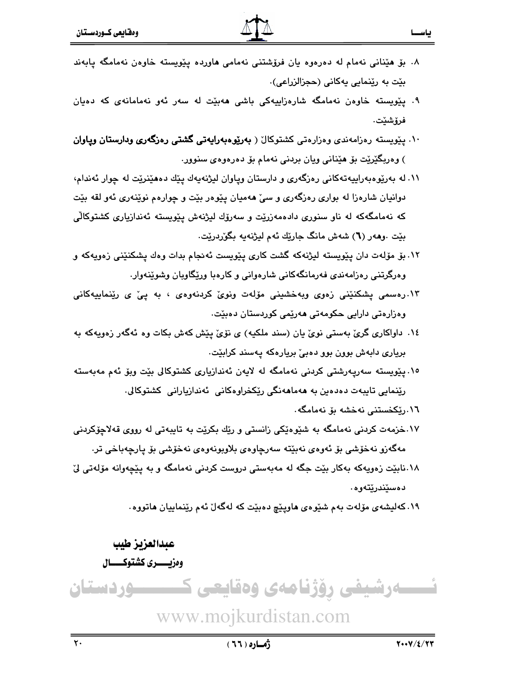- ۸. بۆ ھێنانى نەمام لە دەرەوە يان فرۆشتنى نەمامى ھاوردە يێويستە خاوەن نەمامگە يابەند بێت به رێنمایی یهکانی (حجزالزراعی).
- ۹. پێویسته خاوهن نهمامگه شارهزاییهکی باشی ههبێت له سهر ئهو نهمامانهی که دهیان فرۆشێت٠
- ۱۰. پیّویسته رەزامەندى وەزارەتى كشتوكال ( **بەرێوەبەراپەتى گشتى رەزگەرى ودارستان وياوان** ) وەربگێرێت بۆ ھێنانى ويان بردنى نەمام بۆ دەرەوەي سنوور.
- ۱۱. له بهرێوهبهراییهتهکانی رهزگهری و دارستان ویاوان لیژنهیهك یێك دههێنرێت له چوار ئهندام، دوانیان شارهزا له بواری رهزگهری و سیّ ههمیان پیّوهر بیّت و چوارهم نویّنهری ئهو لقه بیّت که نهمامگهکه له ناو سنوری دادهمهزرێت و سهرۆك لیژنهش یێویسته ئهندازیاری کشتوکالّی بِيّت .وههر (٦) شهش مانگ جارِيّك ئهم ليژنهيه بگوردريّت.
- ۱۲. بۆ مۆلەت دان يێويستە ليژنەكە گشت كارى يێويست ئەنجام بدات وەك يشكنێنى زەويەكە و وهرگرتنی رهزامهندی فهرمانگهکانی شارهوانی و کارهبا وریکاویان وشوینهوار.
- ۱۳.رەسمى پشكنێنى زەوى وبەخشىنى مۆلەت ونوێ كردنەوەى ، بە پێ ى رێنماييەكانى وەزارەتى دارايى حكومەتى ھەرێمى كوردستان دەبێت.
- ١٤. داواکاری گریؒ بهستی نویؒ یان (سند ملکیه) ی نوّیؒ پێش کهش بکات وه ئهگهر زهویهکه به بریاری دابهش بوون بوو دهبیّ بریارهکه یهسند کرابێت.
- ۱۰.پیویسته سەریەرشتی کردنی نەمامگە لە لاپەن ئەندازیاری کشتوکالی بیّت وبوّ ئەم مەبەستە رێنمایی تایبەت دەدەین بە ھەماھەنگی رێکخراوەکانی ئەندازیارانی کشتوکالی.
	- ٠١٦.رێكخستنى نەخشە بۆ نەمامگە.
- ۱۷.خزمهت کردنی نهمامگه به شنیوهنِکی زانستی و ریّك بکریّت به تایبهتی له رووی قهلاچوّکردنی مەگەزو نەخۆشى بۆ ئەوەي نەبێتە سەرچاوەي بلاوبونەوەي نەخۆشى بۆ پارچەباخى تر.
- ۱۸.نابێت زەوپەكە بەكار بێت جگە لە مەبەستى دروست كردنى نەمامگە و بە پێچەوانە مۆلەتى لێ دەسێندرێتەوە.
	- ۱۹. کهلیشهی مۆلەت بەم شێوەی ماوپێچ دەبێت کە لەگەلْ ئەم رێنماييان ماتووە.

# عبدالعزيز طيب

# وەزيـــــــــرى كشتوكـــــــــال

ےرشیفی رؤژنامەی وەقايعى ك ــوردستان www.mojkurdistan.com

بياسيسيا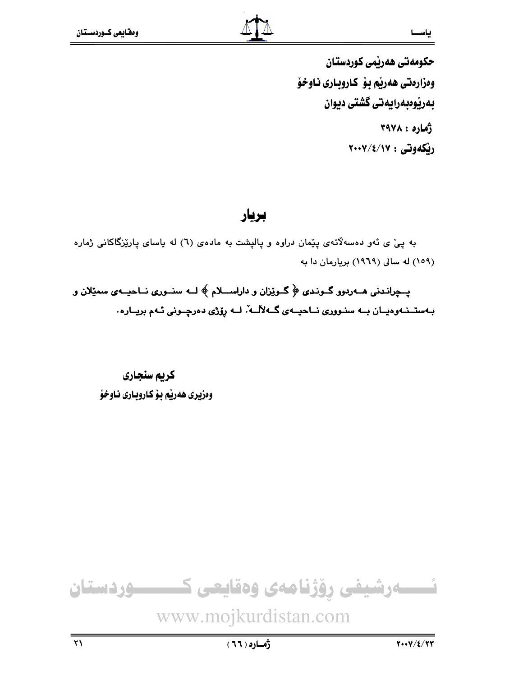حکومهتی ههریمی کوردستان وهزارهتي ههريم بو كاروباري ناوخو بەرپوەبەرايەتى گشتى ديوان  $TAYA:2A$ ريكەوتى : ٢٠٠٧/٤/١٧

# بريار

به پیْ ی ئەو دەسەلاتەی پێمان دراوە و پالپشت بە مادەی (٦) لە ياسای پارێزگاکانی ژمارە (١٥٩) له سالي (١٩٦٩) بريارمان دا به

یـــچرانـدنی هـــهردوو گــونـدی ﴿ گــوێزان و داراســــلام ﴾ لـــه سنــوری نـــاحیــهی سمێلان و بـهستــنـهوهيــان بــه سنـووري نــاحيــهي گــهلألــه ّ. لــه رۆژي دهرچــوني ئـهم بريــاره .

كريم سنجاري وهزيري هەرپم بۆكاروباري ناوخۆ

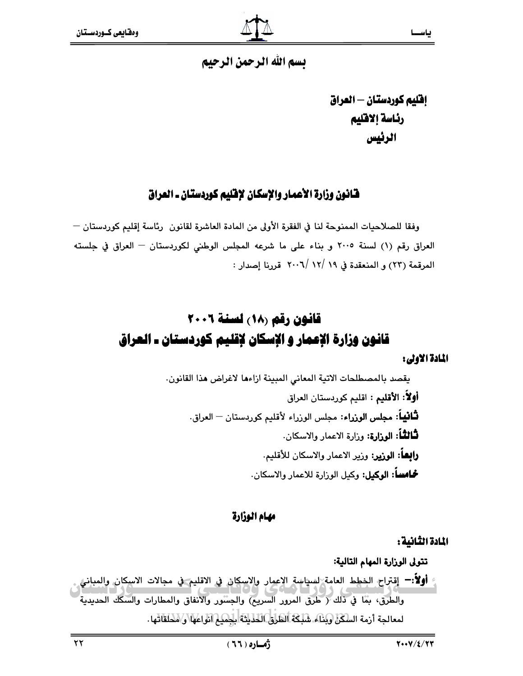# يسم الله الرحمن الرحيم

إفليم كوردستان – العراق رئاسة إلاقليم الرئيس

# فانون وزارة الأعمار والإسكان لإفليم كوردستان ـ العراق

وفقا للصلاحيات الممنوحة لنا في الفقرة الأولى من المادة العاشرة لقانون (رئاسة إقليم كوردستان — العراق رقم (١) لسنة ٢٠٠٥ و بناء على ما شرعه المجلس الوطني لكوردستان - العراق في جلسته المرقمة (٢٣) و المنعقدة في ١٩ /١٢ /٢٠٠٦ قررنا إصدار :

# قانون رقم (١٨) لسنة ٢٠٠٦ قانون وزارة الإعمار و الإسكان لإقليم كوردستان ـ العراق المادة الاولى:

يقصد بالمصطلحات الاتية المعاني المبينة ازاءها لاغراض هذا القانون. **أولاً: الأقليم :** اقليم كوردستان العراق **ثَـَّاثِيـاً: مجلس الوزراء:** مجلس الوزراء لأقليم كوردستان <sup>ـــ</sup> العراق. **ثَـالثـُاً: الوزارة:** وزارة الاعمار والاسكان. **رابعاً: الوزير:** وزير الاعمار والاسكان للأقليم. **شحامساً: الوكيل:** وكيل الوزارة للاعمار والاسكان.

### مهام الوزارة

# المادة الثانية:

تتولى الوزارة المهام التالية: أولاً:— إقتراح الخطط العامة السياسة الإعمار والاسكان في الاقليم في مجالات الاسكان والمباني والطرق، بثَّنا في ذلك ﴿ طرق المرور السريح) والجسْنور والانفاق والمطارات والسكك الحديدية لمعالجة أرمة السكن وبناء. شَلِكَة الطَرْقِ الطَّيْتَةَ لِلْمَمِيمِ الْوَاعَهَا وَ الْمَحَلَقَاتِهَا .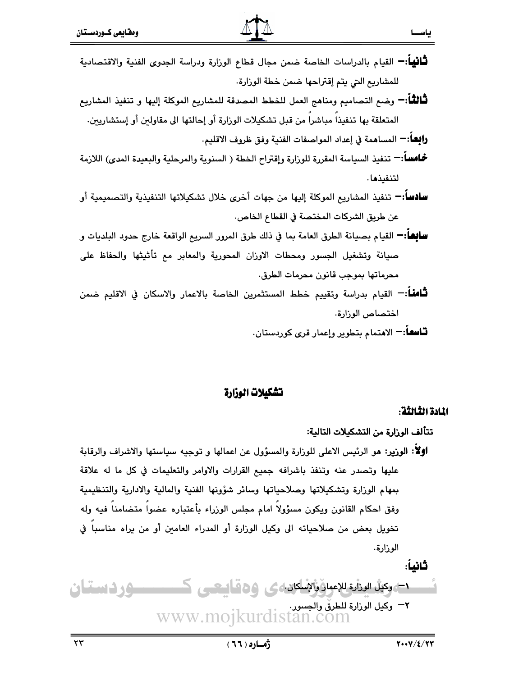- **ثَـانياً**:— القيام بالدراسات الخاصة ضمن مجال قطاع الوزارة ودراسة الجدوى الفنية والاقتصادية للمشاريع التي يتم إقتراحها ضمن خطة الوزارة.
- **ثَـالثَـا**ً:— وضـع التصاميم ومناهج العمل للخطط المصدقة للمشاريع الموكلة إليها و تنفيذ المشاريع المتعلقة بها تنفيذا مباشرا من قبل تشكيلات الوزارة أو إحالتها الى مقاولين أو إستشاريين.

**رابِعاً:−** المساهمة في إعداد المواصفات الفنية وفق ظروف الاقليم.

- **خُـاســا: –** تـنفيذ السياسة المقررة للوزارة وإقتراح الخطة ( السنوية والمرحلية والبعيدة المدى) اللازمة لتنفيذها.
- **سادسا:−** تنفيذ المشاريع الموكلة إليها من جهات أخرى خلال تشكيلاتها التنفيذية والتصميمية أو عن طريق الشركات المختصة في القطاع الخاص.
- **سابِعاً:—** القيام بصيانة الطرق العامة بما في ذلك طرق المرور السريع الواقعة خارج حدود البلديات و صيانة وتشغيل الجسور ومحطات الاوران المحورية والمعابر مع تأثيثها والحفاظ على محرماتها بموجب قانون محرمات الطرق.
- **ثَّامناً**:— القيام بدراسة وتقييم خطط المستثمرين الخاصة بالاعمار والاسكان في الاقليم ضمن اختصاص الوزارة.

**تــاسعــ**اً:— الاهتمام بتطوير وإعمار قرى كوردستان.

# تشكيلات الوزارة

### المادة الثالثة:

بياسيسيا

تتألف الوزارة من التشكيلات التالية:

أولًا: الوزير: هو الرئيس الاعلى للوزارة والمسؤول عن اعمالها و توجيه سياستها والاشراف والرقابة عليها وتصدر عنه وتنفذ باشرافه جميع القرارات والاوامر والتعليمات في كل ما له علاقة بمهام الوزارة وتشكيلاتها وصلاحياتها وسائر شؤونها الفنية والمالية والادارية والتنظيمية وفق احكام القانون ويكون مسؤولا امام مجلس الوزراء بأعتباره عضوا متضامنا فيه وله تخويل بعض من صلاحياته الى وكيل الوزارة أو المدراء العامين أو من يراه مناسبا في الوزارة.

دے وکیل الوزارۃ للإعمان والإسلامن کی 66 قال ہے۔ ک وردستان ۳- وی الوزارة للطرق والجسور.<br>WWW.MOJKurdistan.com

ثانياً: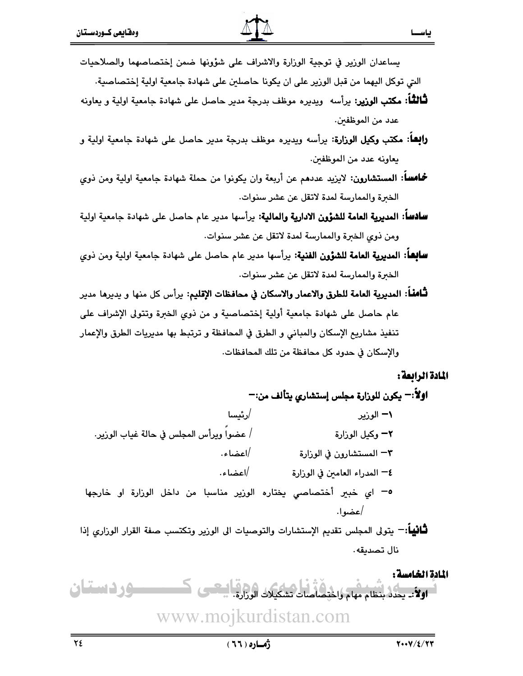التي توكل اليهما من قبل الورير على ان يكونا حاصلين على شهادة جامعية اولية إختصاصية.

- **ثَّالثَّاً: مكتب الوزير:** يرأسه ويديره موظف بدرجة مدير حاصل على شهادة جامعية اولية و يعاونه عدد من الموظفين.
- **رابِعاً: مكتب وكيل الوزارة:** يرأسه ويديره موظف بدرجة مدير حاصل على شهادة جامعية اولية و يعاونه عدد من الموظفين.
- **خُـامسا: المستشارون:** لايزيد عددهم عن أربعة وان يكونوا من حملة شهادة جامعية اولية ومن ذوى الخبرة والممارسة لمدة لاتقل عن عشر سنوات.
- **سادسا: المديرية العامة للشؤون الادارية والمالية:** يرأسها مدير عام حاصل على شهادة جامعية اولية ومن ذوى الخبرة والممارسة لمدة لاتقل عن عشر سنوات.
- **سابِعاً: المديرية العامة للشؤون الفنية:** يرأسها مدير عام حاصل على شهادة جامعية اولية ومن ذوى الخبرة والممارسة لمدة لاتقل عن عشر سنوات.
- **ثَـَّامنَـاً: المديرية العامة للطرق والاعمار والاسكان في محافظات الإقليم:** يرأس كل منها و يديرها مدير عام حاصل على شهادة جامعية أولية إختصاصية و من ذوى الخبرة وتتولى الإشراف على تنفيذ مشاريع الإسكان والمباني و الطرق في المحافظة و ترتبط بها مديريات الطرق والإعمار والإسكان في حدود كل محافظة من تلك المحافظات.

### المادة الرابعة:

ىاســا

اولاً:— يكون للوزارة مجلس إستشاري يتألف من:— /رئيسا ۱– الوزير / عضوا ويرأس المجلس في حالة غياب الورير. ٢– وكيل الوزارة /اعضاء. ٣– المستشارون في الوزارة /اعضاء. ٤— المدراء العامين في الوزارة 0– اي خبير أختصاصى يختاره الوزير مناسبا من داخل الوزارة او خارجها |عضوا.

**ثَـَّاثِياً**:— يتولى المجلس تقديم الإستشارات والتوصيات الى الوزير وتكتسب صفة القرار الوزاري إذا نال تصديقه.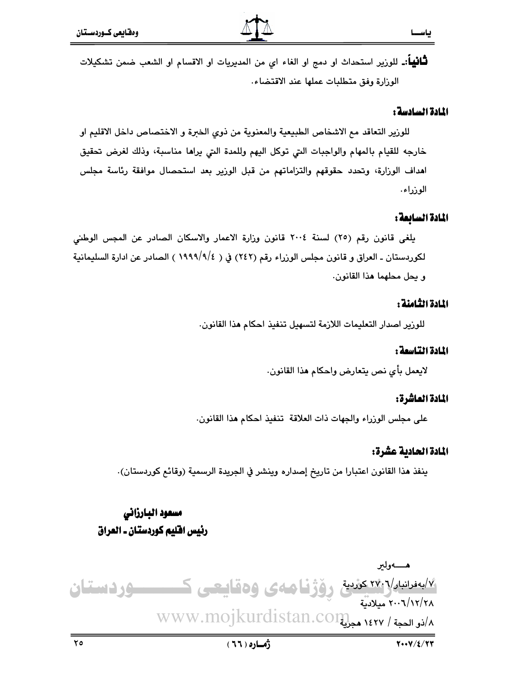**ثَـَّانْيَـاً**:۔ للورْير استحداث او دمج او الغاء اي من المديريات او الاقسام او الشعب ضمن تشكيلات الوزارة وفق متطلبات عملها عند الاقتضاء.

#### المادة السادسة :

للورير التعاقد مع الاشخاص الطبيعية والمعنوية من ذوى الخبرة و الاختصاص داخل الاقليم او خارجه للقيام بالمهام والواجبات التى توكل اليهم وللمدة التى يراها مناسبة، وذلك لغرض تحقيق اهداف الوزارة، وتحدد حقوقهم والتزاماتهم من قبل الوزير بعد استحصال موافقة رئاسة مجلس الوزراء.

#### المادة السائعة:

يلغي قانون رقم (٢٥) لسنة ٢٠٠٤ قانون وزارة الاعمار والاسكان الصادر عن المجس الوطني لكوردستان ـ العراق و قانون مجلس الوزراء رقم (٢٤٢) في ( ١٩٩٩/٩/٤ ) الصادر عن ادارة السليمانية و يحل محلهما هذا القانون.

#### المادة الثامنة :

للورير اصدار التعليمات اللازمة لتسهيل تنفيذ احكام هذا القانون.

#### المادة التياسمة :

لايعمل بأي نص يتعارض وإحكام هذا القانون.

#### المادة العاشرة:

على مجلس الوزراء والجهات ذات العلاقة تنفيذ احكام هذا القانون.

#### المادة الحادية عشرة:

ينفذ هذا القانون اعتبارا من تاريخ إصداره وينشر في الجريدة الرسمية (وقائم كوردستان).

# مسعود البارزاني رئيس افليم كوردستان ـ العراق

هــــــهولير ۷۴۰<del>۰ مورد تارین ۱۷۴۰ کوروستا و در</del>اکتاب میلی ک وردستان ٢٠٠٦/١٢/٢٨ ميلادية WWW.MOJKurdistan.COM هجرلية / ١٤٢٧ هجرلية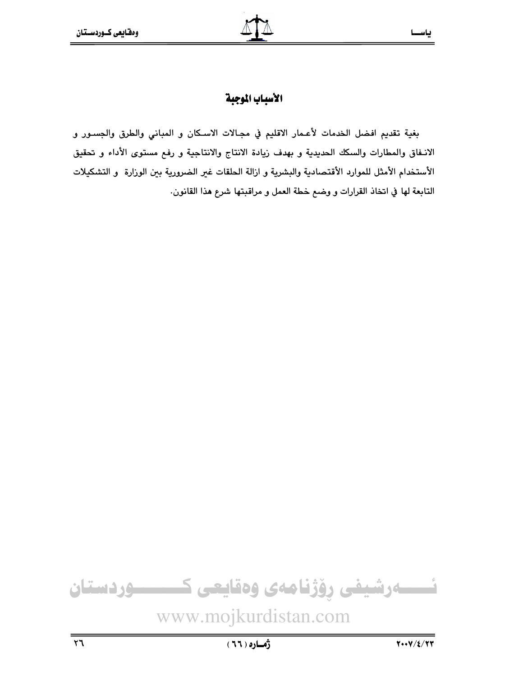# الأسباب الموجبة

بغية تقديم افضل الخدمات لأعـمار الاقليم في مجـالات الاسـكان و المباني والطرق والجسـور و الانـفاق والمطارات والسكك الحديدية و بهدف زيادة الانتاج والانتاجية و رفع مستوى الأداء و تحقيق الأستخدام الأمثل للموارد الأقتصادية والبشرية و ازالة الحلقات غير الضرورية بين الوزارة و التشكيلات التابعة لها في اتخاذ القرارات و وضع خطة العمل و مراقبتها شرع هذا القانون.

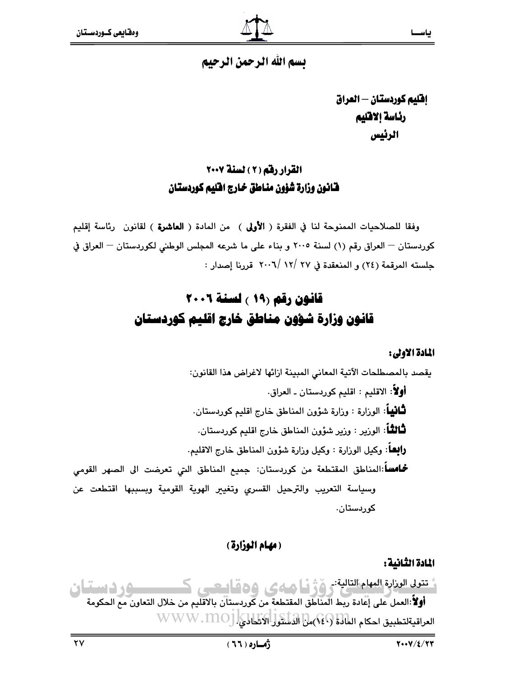# يسم الله الرحمن الرحيم

إفليم كوردستان - العراق رئاسة إلاقليم الرئيس

# القرار رفق (٢) لسنة ٢٠٠٧ فانون وزارة شؤون مناطق خارج افليم كوردستان

وفقا للصلاحيات الممنوحة لنا في الفقرة ( **الأولى** ) من المادة ( **العاشرة** ) لقانون رئاسة إقليم كوردستان - العراق رقم (١) لسنة ٢٠٠٥ و بناء على ما شرعه المجلس الوطني لكوردستان - العراق في جلسته المرقمة (٢٤) و المنعقدة في ٢٧ /١٢ /٢٠٠٦ قررنا إصدار :

# قانون رقم (١٩ ) لسنة ٢٠٠٦ قانون وزارة شؤون مناطق خارج اقليم كوردستان

### المادة الاولى:

يقصد بالمصطلحات الآتية المعاني المبينة ازائها لاغراض هذا القانون: أَوْلاً: الاقليم : اقليم كوردستان ـ العراق. **لثَّافيهاً**: الوزارة : وزارة شؤون المناطق خارج اقليم كوردستان. **ثَـالثُـاً**: الوزير : وزير شؤون المناطق خارج اقليم كوردستان. و**ابهاً**: وكيل الوزارة : وكيل وزارة شؤون المناطق خارج الاقليم. **حُـامساً**:المناطق المقتطعة من كوردستان: جميع المناطق التى تعرضت الى الصهر القومى وسياسة التعريب والترحيل القسرى وتغيير الهوية القومية وبسببها اقتطعت عن کوردستان.

# (مهام الوزارة)

### المادة الثانية :

فتعد العزارة المهام التالية: وفرُّفًا صهى وهقاييعي كمستسبق ودسيقان أولاً:العمل على إعادة ربط المُناَطَق المقتطعة من كوردستان بالاقليم من خلال التعاون مع الحكومة العراقيةلتطبيق احكام العالمة (49) من الدلسول الاتحادي. WWW.MOJ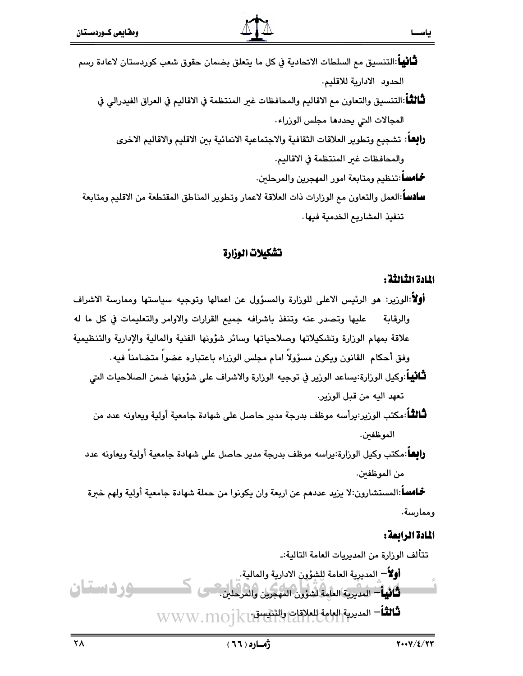- **ثْـانيـاً**:التنسيق مم السلطات الاتحادية في كل ما يتعلق بضمان حقوق شعب كوردستان لاعادة رسم الحدود الادارية للاقليم.
	- لْتَالَمْـًا:التنسيق والتعاون مع الاقاليم والمحافظات غير المنتظمة في الاقاليم في العراق الفيدرالي في المجالات التي يحددها مجلس الوزراء.
		- رالِعاً: تشجيع وتطوير العلاقات الثقافية والاجتماعية الانمائية بين الاقليم والاقاليم الاخرى والمحافظات غبر المنتظمة في الاقاليم.
			- **خُلَّفَ -** تَنْظيم ومتابعة امور المهجرين والمرحلين.
	- **سادساً** العمل والتعاون مم الوزارات ذات العلاقة لاعمار وتطوير المناطق المقتطعة من الاقليم ومتابعة تنفيذ المشاريع الخدمية فيها.

# تشكيلات الوزارة

### المادة الثالثة :

- **أولاً**:الوربير: هو الرئيس الاعلى للورارة والمسؤول عن اعمالها وتوجيه سياستها وممارسة الاشراف والرقابة لل عليها وتصدر عنه وتنفذ باشرافه جميع القرارات والاوامر والتعليمات في كل ما له علاقة بمهام الوزارة وتشكيلاتها وصلاحياتها وسائر شؤونها الفنية والمالية والإدارية والتنظيمية وفق أحكام القانون ويكون مسؤولا امام مجلس الوزراء باعتباره عضوا متضامنا فيه.
	- **لثَّافِياً**:وكيل الوزارة:يساعد الورير في توجيه الورارة والاشراف على شؤونها ضمن الصلاحيات التي تعهد اليه من قبل الوزير.
	- ثَلَالثَّاً:مكتب الورير:برأسه موظف بدرجة مدير حاصل على شهادة جامعية أولية ويعاونه عدد من الموظفىن.
	- **زابعا**:مكتب وكيل الوزارة:يراسه موظف بدرجة مدير حاصل على شهادة جامعية أولية ويعاونه عدد من الموظفين.

**حُـامسا**:المستشارون:لا يزيد عددهم عن اربعة وان يكونوا من حملة شهادة جامعية أولية ولهم خبرة وممارسة.

# المادة الرابعة:

تتألف الورارة من المديريات العامة التالية:۔ أو¥ً− المديرية العامة للشؤون الادارية والمالية. ودستان **ثَانِياً** – المديرية العامة لشؤون المهجرين والمرحلين. شانشاً المديرية العامة للعلاقات والتنقسية WWW.MO1KU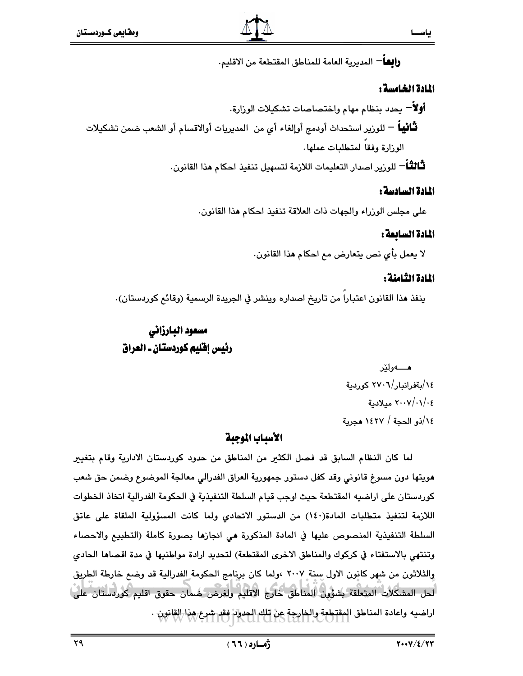ياســا

**ر|بعــ**اً − المديرية العامة للمناطق المقتطعة من الاقليم.

### المادة الخامسة :

**أولاً**— يحدد بنظام مهام واختصاصات تشكيلات الوزارة. **ثْـانْيِياْ** — للورْير استحداث أودمج أوإلغاء أي من المديريات أوالاقسام أو الشعب ضمن تشكيلات الوزارة وفقا لمتطلبات عملها. **ثَـالثَّـا**َ — للورير اصدار التعليمات اللازمة لتسهيل تنفيذ احكام **م**ذا القانون.

#### المادة السادسة :

على مجلس الوزراء والجهات ذات العلاقة تنفيذ احكام هذا القانون.

#### المادة السابعة :

لا يعمل بأي نص يتعارض مع احكام هذا القانون.

### المادة الثامنة :

ينفذ هذا القانون اعتبارا من تاريخ اصداره وينشر في الجريدة الرسمية (وقائم كوردستان).

# مسعود البارزاني رئيس إفليم كوردستان ـ العراق

هــــــه و لخر ١٤/بةفرانبار/٢٧٠٦ كوردية ٢٠٠٧/٠١/٠٤ ميلادية ١٤/(ذو الحجة / ١٤٢٧ هجرية

### الأسباب الموجبة

لما كان النظام السابق قد فصل الكثير من المناطق من حدود كوردستان الادارية وقام بتغيير هويتها دون مسوغ قانوني وقد كفل دستور جمهورية العراق الفدرالي معالجة الموضوع وضمن حق شعب كوردستان على اراضيه المقتطعة حيث اوجب قيام السلطة التنفيذية في الحكومة الفدرالية اتخاذ الخطوات اللازمة لتنفيذ متطلبات المادة(١٤٠) من الدستور الاتحادي ولما كانت المسؤولية الملقاة على عاتق السلطة التنفيذية المنصوص عليها في المادة المذكورة هي انجازها بصورة كاملة (التطبيع والاحصاء وتنتهي بالاستفتاء في كركوك والمناطق الاخرى المقتطعة) لتحديد ارادة مواطنيها في مدة اقصاها الحادي والثلاثون من شهر كانون الاول سنة ٢٠٠٧ ،ولما كان برنامج الحكومة الفدرالية قد وضع خارطة الطريق لحل المشكلات المتعلقة بشؤون المناطق خارج الاقليم ولغرض خسان حقوق اقليم كوردستان على) اراضيه واعادة المناطق المقتطعة والخارجة عن تلك الحدود فقد شرع هذا القانون .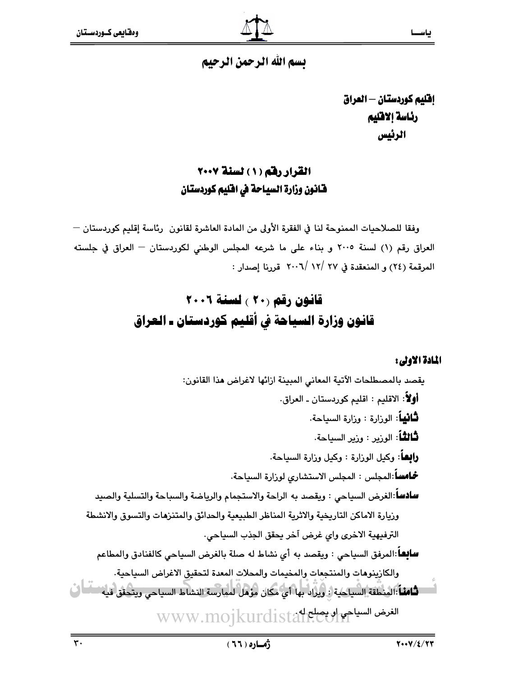

# يسم الله الرحمن الرحيم

إفليم كوردستان - العراق رئاسة إلاقليم الرئيس

# القرار رفق (١) لسنة ٢٠٠٧ فـَّانـُون وزارة السيـاحة في افليم كوردستـان

وفقا للصلاحيات الممنوحة لنا في الفقرة الأولى من المادة العاشرة لقانون (رئاسة إقليم كوردستان — العراق رقم (١) لسنة ٢٠٠٥ و بناء على ما شرعه المجلس الوطني لكوردستان - العراق في جلسته المرقمة (٢٤) و المنعقدة في ٢٧ /١٢ /٢٠٠٦ قررنا إصدار :

# قانون رقم (٢٠ ) لسنة ٢٠٠٦ قانون وزارة السياحة فى أقليم كوردستان ـ العراق

### المادة الاولى:

يقصد بالمصطلحات الآتية المعاني المبينة ازائها لاغراض هذا القانون: أولاً: الاقليم : اقليم كوردستان ـ العراق. **ثَـانبياً**: الوزارة : وزارة السباحة، **ثَّالثَّاً**: الوزير : وزير السياحة، **رابعاً**: وكيل الوزارة : وكيل وزارة السياحة، **حُـامساً**:المجلس : المجلس الاستشاري لورارة السياحة. **سادساً**:الغرض السياحى : ويقصد به الراحة والاستجمام والرياضة والسباحة والتسلية والصيد وزيارة الاماكن التاريخية والاثرية المناظر الطبيعية والحدائق والمتنزمات والتسوق والانشطة الترفيهية الاخرى واى غرض آخر يحقق الجذب السياحى. **سابِعاً**:المرفق السياحي : ويقصد به أي نشاط له صلة بالغرض السياحي كالفنادق والمطاعم والكازينوهات والمنتجعات والمخيمات والمحلات المعدة لتحقيق الاغراض السياحية. فَامِنًا:المِنْطَقَةُ السياحية : ويزاد بها أي مكان مؤهل لمهارسة النشاط السياحي ويتحقق فيه تطافُ الغرض السياحي اوبيصلح له WWW.mojkurdistali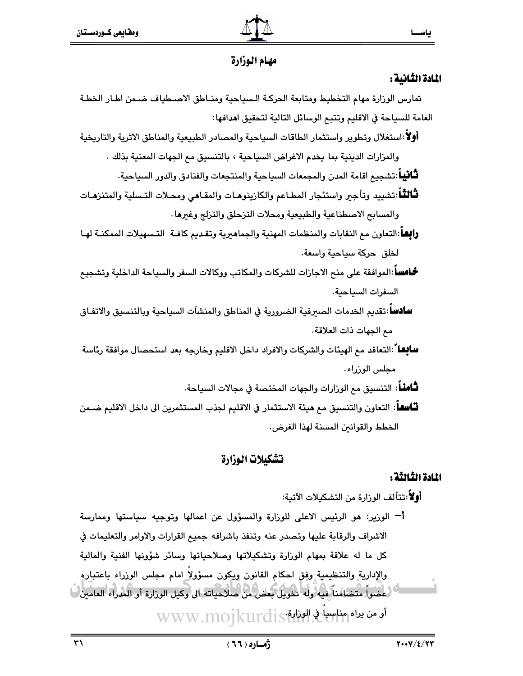

# مهام الوزارة

# المادة الثانية :

تمارس الوزارة مهام التخطيط ومتابعة الحركـة الـسياحية ومنـاطق الاصـطياف ضـمن اطـار الخطـة العامة للسياحة في الاقليم وتتبع الوسائل التالية لتحقيق اهدافها:

أولأ:استغلال وتطوير واستثمار الطاقات السياحية والمصادر الطبيعية والمناطق الاثرية والتاريخية والمزارات الدينية بما يخدم الاغراض السياحية ، بالتنسيق مع الجهات المعنية بذلك .

**لثَّاثِياً**:تشجيع اقامة المدن والمجمعات السياحية والمنتجعات والفنادق والدور السياحية.

**ثَـالثـًا**:تشييد وتأجير واستئجار المطـاعم والكازينوهـات والمقـاهي ومحـلات التـسلية والمتنزهـات والمسابح الاصطناعية والطبيعية ومحلات التزحلق والتزلج وغيرها

**رابعا**:التعاون مم النقابات والمنظمات المهنية والجماهيرية وتقديم كافـة التـسهيلات الممكنـة لهـا لخلق حركة سياحية واسعة.

**خُـامساً** :الموافقة على منح الاجازات للشركات والمكاتب ووكالات السفر والسياحة الداخلية وتشجيع السفرات السياحية.

**سادسا**:تقديم الخدمات الصبرفية الضرورية في المناطق والمنشآت السياحية ويالتنسيق والاتفـاق مع الجهات ذات العلاقة.

**سابِعا**ً :التعاقد مع الهيئات والشركات والافراد داخل الاقليم وخارجه بعد استحصال موافقة رئاسة مجلس الوزراء.

**لثَّامنْــا**: التنسيق مم الورارات والجهات المختصة في مجالات السياحة.

**تـّاسفـ**اً: التعاون والتنسيق مـم هيئة الاستثمار في الاقليم لجذب المستثمرين الى داخل الاقليم ضـمن الخطط والقوانين المسنة لهذا الغرض.

# تشكيلات الوزارة

# المادة الثالثة :

أَوْلاً:تتألف الوزارة من التشكيلات الآتية:

أَّ الوزير: هو الرئيس الاعلى للوزارة والمسؤول عن اعمالها وتوجيه سياستها وممارسة الاشراف والرقابة عليها وتصدر عنه وتنفذ باشرافه جميع القرارات والاوامر والتعليمات في كل ما له علاقة بمهام الوزارة وتشكيلاتها وصلاحياتها وسائر شؤونها الفنية والمالية والإدارية والتنظيمية وفق احكام القانون ويكون مسؤولا امام مجلس الوزراء باعتباره .<br>العضواً متضامناً فيه وله تخويل بعض من صلاحياته الى وكيل الوزارة أو المدراء العامين... أومن يراه مناسباتي الوذاية WWW.mojkurdis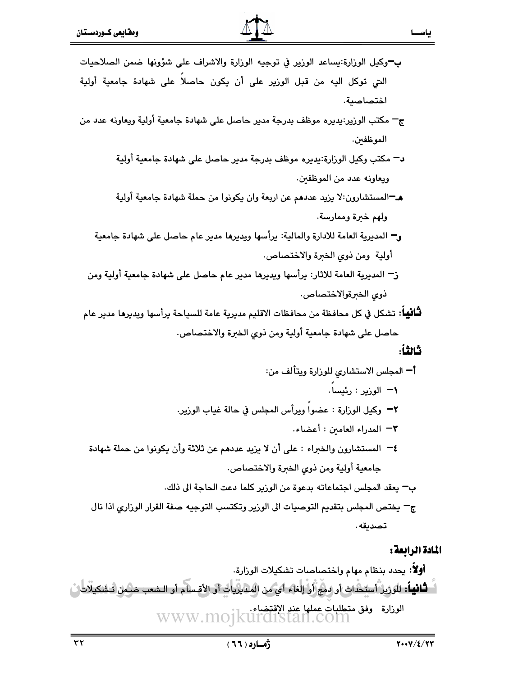

- ج— مكتب الوزير:يديره موظف بدرجة مدير حاصل على شهادة جامعية أولية ويعاونه عدد من الموظفين.
	- د− مكتب وكيل الورارة:يديره موظف بدرجة مدير حاصل على شهادة جامعية أولية ويعاونه عدد من الموظفين.
	- هـ¬المستشارون:لا يزيد عددهم عن اربعة وان يكونوا من حملة شهادة جامعية أولية ولهم خبرة وممارسة.
	- و— المديرية العامة للادارة والمالية: يرأسها ويديرها مدير عام حاصل على شهادة جامعية أولية ومن ذوى الخبرة والاختصاص.
	- ز— المديرية العامة للاثار: يرأسها ويديرها مدير عام حاصل على شهادة جامعية أولية ومن ذوى الخبرةوالاختصاص.
- **ثَّانياً**: تشكل في كل محافظة من محافظات الاقليم مديرية عامة للسياحة يرأسها ويديرها مدير عام حاصل على شهادة جامعية أولية ومن ذوى الخبرة والاختصاص.

### ثانثاً:

### المادة الرابعة :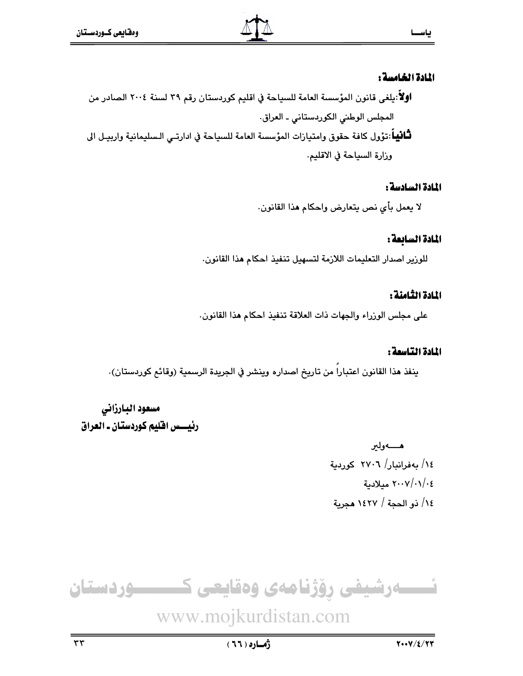#### المادة الخامسة :

اولاً:يلغى قانون المؤسسة العامة للسياحة في اقليم كوردستان رقم ٣٩ لسنة ٢٠٠٤ الصادر من المجلس الوطني الكوردستاني ـ العراق. **ثَـَّافِيهَ**اً:تؤول كافة حقوق وامتيازات المؤسسة العامة للسياحة في ادارتـي الـسليمانية واربيـل الى وزارة السياحة في الاقليم.

#### المادة السادسة :

لا يعمل بأى نص يتعارض واحكام هذا القانون.

### المادة السابعة :

للورير اصدار التعليمات اللازمة لتسهيل تنفيذ احكام هذا القانون.

### المادة الثامنة :

على مجلس الوزراء والجهات ذات العلاقة تنفيذ احكام هذا القانون.

#### المادة التاسمة :

ينفذ هذا القانون اعتبارا من تاريخ اصداره وينشر في الجريدة الرسمية (وقائع كوردستان).

# مسعود البارزاني رئيسس افليم كوردستان ـ العراق

هــــــهولير ١٤/ بەفرانبار/ ٢٧٠٦ كوردية ٢٠٠٧/٠١/٠٤ ميلادية ١٤/ ذو الحجة / ١٤٢٧ هجرية

ےرشیفی رؤژنامەی وەقايعى ك ـــــوردستان